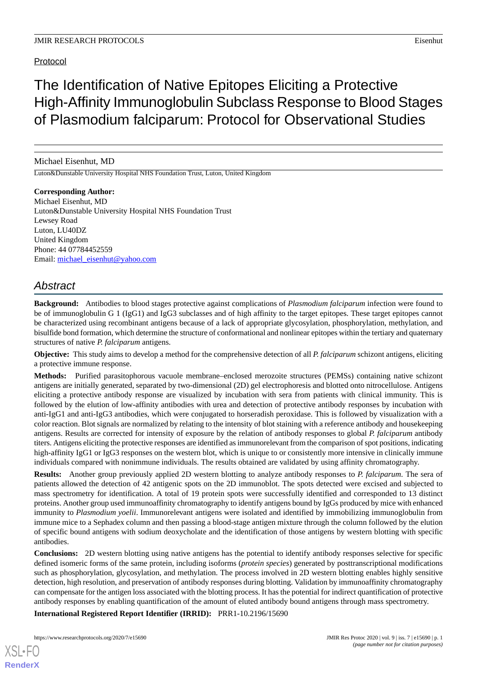# Protocol

The Identification of Native Epitopes Eliciting a Protective High-Affinity Immunoglobulin Subclass Response to Blood Stages of Plasmodium falciparum: Protocol for Observational Studies

Michael Eisenhut, MD

Luton&Dunstable University Hospital NHS Foundation Trust, Luton, United Kingdom

**Corresponding Author:** Michael Eisenhut, MD Luton&Dunstable University Hospital NHS Foundation Trust Lewsey Road Luton, LU40DZ United Kingdom Phone: 44 07784452559 Email: [michael\\_eisenhut@yahoo.com](mailto:michael_eisenhut@yahoo.com)

# *Abstract*

**Background:** Antibodies to blood stages protective against complications of *Plasmodium falciparum* infection were found to be of immunoglobulin G 1 (IgG1) and IgG3 subclasses and of high affinity to the target epitopes. These target epitopes cannot be characterized using recombinant antigens because of a lack of appropriate glycosylation, phosphorylation, methylation, and bisulfide bond formation, which determine the structure of conformational and nonlinear epitopes within the tertiary and quaternary structures of native *P. falciparum* antigens.

**Objective:** This study aims to develop a method for the comprehensive detection of all *P. falciparum* schizont antigens, eliciting a protective immune response.

**Methods:** Purified parasitophorous vacuole membrane–enclosed merozoite structures (PEMSs) containing native schizont antigens are initially generated, separated by two-dimensional (2D) gel electrophoresis and blotted onto nitrocellulose. Antigens eliciting a protective antibody response are visualized by incubation with sera from patients with clinical immunity. This is followed by the elution of low-affinity antibodies with urea and detection of protective antibody responses by incubation with anti-IgG1 and anti-IgG3 antibodies, which were conjugated to horseradish peroxidase. This is followed by visualization with a color reaction. Blot signals are normalized by relating to the intensity of blot staining with a reference antibody and housekeeping antigens. Results are corrected for intensity of exposure by the relation of antibody responses to global *P. falciparum* antibody titers. Antigens eliciting the protective responses are identified as immunorelevant from the comparison of spot positions, indicating high-affinity IgG1 or IgG3 responses on the western blot, which is unique to or consistently more intensive in clinically immune individuals compared with nonimmune individuals. The results obtained are validated by using affinity chromatography.

**Results:** Another group previously applied 2D western blotting to analyze antibody responses to *P. falciparum*. The sera of patients allowed the detection of 42 antigenic spots on the 2D immunoblot. The spots detected were excised and subjected to mass spectrometry for identification. A total of 19 protein spots were successfully identified and corresponded to 13 distinct proteins. Another group used immunoaffinity chromatography to identify antigens bound by IgGs produced by mice with enhanced immunity to *Plasmodium yoelii*. Immunorelevant antigens were isolated and identified by immobilizing immunoglobulin from immune mice to a Sephadex column and then passing a blood-stage antigen mixture through the column followed by the elution of specific bound antigens with sodium deoxycholate and the identification of those antigens by western blotting with specific antibodies.

**Conclusions:** 2D western blotting using native antigens has the potential to identify antibody responses selective for specific defined isomeric forms of the same protein, including isoforms (*protein species*) generated by posttranscriptional modifications such as phosphorylation, glycosylation, and methylation. The process involved in 2D western blotting enables highly sensitive detection, high resolution, and preservation of antibody responses during blotting. Validation by immunoaffinity chromatography can compensate for the antigen loss associated with the blotting process. It has the potential for indirect quantification of protective antibody responses by enabling quantification of the amount of eluted antibody bound antigens through mass spectrometry.

**International Registered Report Identifier (IRRID):** PRR1-10.2196/15690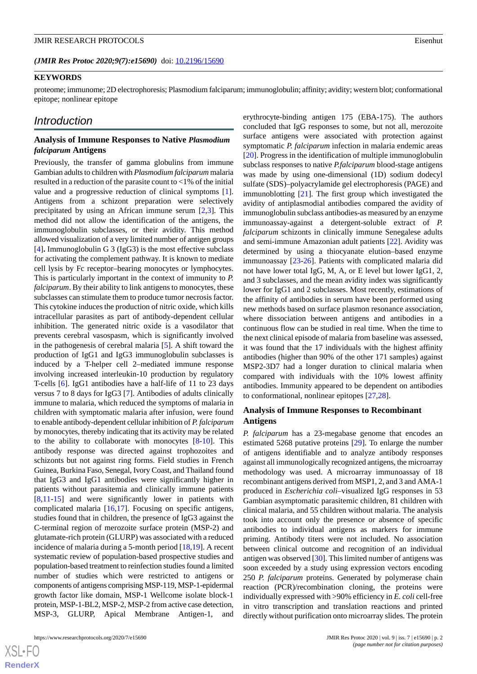(JMIR Res Protoc 2020;9(7):e15690) doi: [10.2196/15690](http://dx.doi.org/10.2196/15690)

#### **KEYWORDS**

proteome; immunome; 2D electrophoresis; Plasmodium falciparum; immunoglobulin; affinity; avidity; western blot; conformational epitope; nonlinear epitope

# *Introduction*

## **Analysis of Immune Responses to Native** *Plasmodium falciparum* **Antigens**

Previously, the transfer of gamma globulins from immune Gambian adults to children with *Plasmodium falciparum* malaria resulted in a reduction of the parasite count to  $\langle 1\%$  of the initial value and a progressive reduction of clinical symptoms [[1\]](#page-10-0). Antigens from a schizont preparation were selectively precipitated by using an African immune serum [\[2](#page-10-1),[3\]](#page-10-2). This method did not allow the identification of the antigens, the immunoglobulin subclasses, or their avidity. This method allowed visualization of a very limited number of antigen groups [[4\]](#page-10-3)**.** Immunoglobulin G 3 (IgG3) is the most effective subclass for activating the complement pathway. It is known to mediate cell lysis by Fc receptor–bearing monocytes or lymphocytes. This is particularly important in the context of immunity to *P. falciparum*. By their ability to link antigens to monocytes, these subclasses can stimulate them to produce tumor necrosis factor. This cytokine induces the production of nitric oxide, which kills intracellular parasites as part of antibody-dependent cellular inhibition. The generated nitric oxide is a vasodilator that prevents cerebral vasospasm, which is significantly involved in the pathogenesis of cerebral malaria [[5\]](#page-10-4). A shift toward the production of IgG1 and IgG3 immunoglobulin subclasses is induced by a T-helper cell 2–mediated immune response involving increased interleukin-10 production by regulatory T-cells [\[6](#page-10-5)]. IgG1 antibodies have a half-life of 11 to 23 days versus 7 to 8 days for IgG3 [\[7](#page-10-6)]. Antibodies of adults clinically immune to malaria, which reduced the symptoms of malaria in children with symptomatic malaria after infusion, were found to enable antibody-dependent cellular inhibition of *P. falciparum* by monocytes, thereby indicating that its activity may be related to the ability to collaborate with monocytes [\[8](#page-10-7)[-10](#page-10-8)]. This antibody response was directed against trophozoites and schizonts but not against ring forms. Field studies in French Guinea, Burkina Faso, Senegal, Ivory Coast, and Thailand found that IgG3 and IgG1 antibodies were significantly higher in patients without parasitemia and clinically immune patients [[8](#page-10-7)[,11](#page-10-9)-[15\]](#page-11-0) and were significantly lower in patients with complicated malaria [\[16](#page-11-1),[17\]](#page-11-2). Focusing on specific antigens, studies found that in children, the presence of IgG3 against the C-terminal region of merozoite surface protein (MSP-2) and glutamate-rich protein (GLURP) was associated with a reduced incidence of malaria during a 5-month period [\[18](#page-11-3),[19\]](#page-11-4). A recent systematic review of population-based prospective studies and population-based treatment to reinfection studies found a limited number of studies which were restricted to antigens or components of antigens comprising MSP-119, MSP-1-epidermal growth factor like domain, MSP-1 Wellcome isolate block-1 protein, MSP-1-BL2, MSP-2, MSP-2 from active case detection, MSP-3, GLURP, Apical Membrane Antigen-1, and

erythrocyte-binding antigen 175 (EBA-175). The authors concluded that IgG responses to some, but not all, merozoite surface antigens were associated with protection against symptomatic *P. falciparum* infection in malaria endemic areas [[20\]](#page-11-5). Progress in the identification of multiple immunoglobulin subclass responses to native *P.falciparum* blood-stage antigens was made by using one-dimensional (1D) sodium dodecyl sulfate (SDS)–polyacrylamide gel electrophoresis (PAGE) and immunoblotting [\[21](#page-11-6)]. The first group which investigated the avidity of antiplasmodial antibodies compared the avidity of immunoglobulin subclass antibodies-as measured by an enzyme immunoassay-against a detergent-soluble extract of *P. falciparum* schizonts in clinically immune Senegalese adults and semi-immune Amazonian adult patients [\[22](#page-11-7)]. Avidity was determined by using a thiocyanate elution–based enzyme immunoassay [\[23](#page-11-8)-[26\]](#page-11-9). Patients with complicated malaria did not have lower total IgG, M, A, or E level but lower IgG1, 2, and 3 subclasses, and the mean avidity index was significantly lower for IgG1 and 2 subclasses. Most recently, estimations of the affinity of antibodies in serum have been performed using new methods based on surface plasmon resonance association, where dissociation between antigens and antibodies in a continuous flow can be studied in real time. When the time to the next clinical episode of malaria from baseline was assessed, it was found that the 17 individuals with the highest affinity antibodies (higher than 90% of the other 171 samples) against MSP2-3D7 had a longer duration to clinical malaria when compared with individuals with the 10% lowest affinity antibodies. Immunity appeared to be dependent on antibodies to conformational, nonlinear epitopes [\[27](#page-11-10),[28\]](#page-11-11).

## **Analysis of Immune Responses to Recombinant Antigens**

*P. falciparum* has a 23-megabase genome that encodes an estimated 5268 putative proteins [[29\]](#page-11-12). To enlarge the number of antigens identifiable and to analyze antibody responses against all immunologically recognized antigens, the microarray methodology was used. A microarray immunoassay of 18 recombinant antigens derived from MSP1, 2, and 3 and AMA-1 produced in *Escherichia coli*–visualized IgG responses in 53 Gambian asymptomatic parasitemic children, 81 children with clinical malaria, and 55 children without malaria. The analysis took into account only the presence or absence of specific antibodies to individual antigens as markers for immune priming. Antibody titers were not included. No association between clinical outcome and recognition of an individual antigen was observed [[30\]](#page-11-13). This limited number of antigens was soon exceeded by a study using expression vectors encoding 250 *P. falciparum* proteins. Generated by polymerase chain reaction (PCR)/recombination cloning, the proteins were individually expressed with >90% efficiency in *E. coli* cell-free in vitro transcription and translation reactions and printed directly without purification onto microarray slides. The protein

```
XS • FO
RenderX
```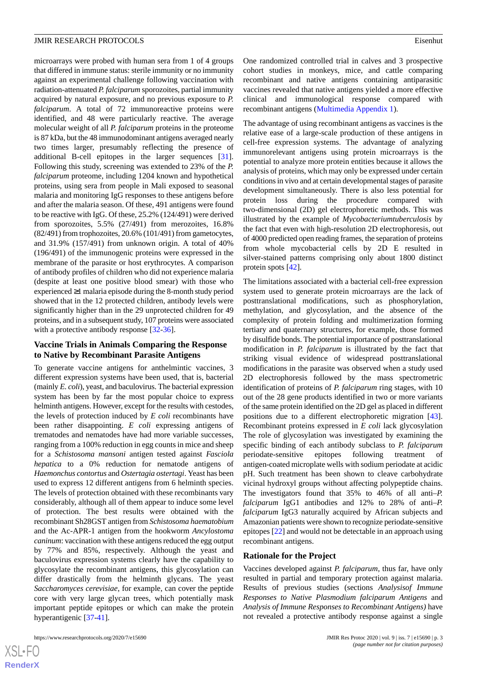microarrays were probed with human sera from 1 of 4 groups that differed in immune status: sterile immunity or no immunity against an experimental challenge following vaccination with radiation-attenuated *P. falciparum* sporozoites, partial immunity acquired by natural exposure, and no previous exposure to *P. falciparum*. A total of 72 immunoreactive proteins were identified, and 48 were particularly reactive. The average molecular weight of all *P. falciparum* proteins in the proteome is 87 kDa, but the 48 immunodominant antigens averaged nearly two times larger, presumably reflecting the presence of additional B-cell epitopes in the larger sequences [[31\]](#page-11-14). Following this study, screening was extended to 23% of the *P. falciparum* proteome, including 1204 known and hypothetical proteins, using sera from people in Mali exposed to seasonal malaria and monitoring IgG responses to these antigens before and after the malaria season. Of these, 491 antigens were found to be reactive with IgG. Of these, 25.2% (124/491) were derived from sporozoites, 5.5% (27/491) from merozoites, 16.8% (82/491) from trophozoites, 20.6% (101/491) from gametocytes, and 31.9% (157/491) from unknown origin. A total of 40% (196/491) of the immunogenic proteins were expressed in the membrane of the parasite or host erythrocytes. A comparison of antibody profiles of children who did not experience malaria (despite at least one positive blood smear) with those who experienced ≥1 malaria episode during the 8-month study period showed that in the 12 protected children, antibody levels were significantly higher than in the 29 unprotected children for 49 proteins, and in a subsequent study, 107 proteins were associated with a protective antibody response [\[32](#page-11-15)-[36\]](#page-12-0).

# **Vaccine Trials in Animals Comparing the Response to Native by Recombinant Parasite Antigens**

To generate vaccine antigens for anthelmintic vaccines, 3 different expression systems have been used, that is, bacterial (mainly *E. coli*), yeast, and baculovirus. The bacterial expression system has been by far the most popular choice to express helminth antigens. However, except for the results with cestodes, the levels of protection induced by *E coli* recombinants have been rather disappointing. *E coli* expressing antigens of trematodes and nematodes have had more variable successes, ranging from a 100% reduction in egg counts in mice and sheep for a *Schistosoma mansoni* antigen tested against *Fasciola hepatica* to a 0% reduction for nematode antigens of *Haemonchus contortus* and *Ostertagia ostertagi*. Yeast has been used to express 12 different antigens from 6 helminth species. The levels of protection obtained with these recombinants vary considerably, although all of them appear to induce some level of protection. The best results were obtained with the recombinant Sh28GST antigen from *Schistosoma haematobium* and the Ac-APR-1 antigen from the hookworm *Ancylostoma caninum*: vaccination with these antigens reduced the egg output by 77% and 85%, respectively. Although the yeast and baculovirus expression systems clearly have the capability to glycosylate the recombinant antigens, this glycosylation can differ drastically from the helminth glycans. The yeast *Saccharomyces cerevisiae*, for example, can cover the peptide core with very large glycan trees, which potentially mask important peptide epitopes or which can make the protein hyperantigenic [[37-](#page-12-1)[41](#page-12-2)].

https://www.researchprotocols.org/2020/7/e15690 JMIR Res Protoc 2020 | vol. 9 | iss. 7 | e15690 | p. 3

One randomized controlled trial in calves and 3 prospective cohort studies in monkeys, mice, and cattle comparing recombinant and native antigens containing antiparasitic vaccines revealed that native antigens yielded a more effective clinical and immunological response compared with recombinant antigens [\(Multimedia Appendix 1](#page-10-10)).

The advantage of using recombinant antigens as vaccines is the relative ease of a large-scale production of these antigens in cell-free expression systems. The advantage of analyzing immunorelevant antigens using protein microarrays is the potential to analyze more protein entities because it allows the analysis of proteins, which may only be expressed under certain conditions in vivo and at certain developmental stages of parasite development simultaneously. There is also less potential for protein loss during the procedure compared with two-dimensional (2D) gel electrophoretic methods. This was illustrated by the example of *Mycobacteriumtuberculosis* by the fact that even with high-resolution 2D electrophoresis, out of 4000 predicted open reading frames, the separation of proteins from whole mycobacterial cells by 2D E resulted in silver-stained patterns comprising only about 1800 distinct protein spots [[42\]](#page-12-3).

The limitations associated with a bacterial cell-free expression system used to generate protein microarrays are the lack of posttranslational modifications, such as phosphorylation, methylation, and glycosylation, and the absence of the complexity of protein folding and multimerization forming tertiary and quaternary structures, for example, those formed by disulfide bonds. The potential importance of posttranslational modification in *P. falciparum* is illustrated by the fact that striking visual evidence of widespread posttranslational modifications in the parasite was observed when a study used 2D electrophoresis followed by the mass spectrometric identification of proteins of *P. falciparum* ring stages, with 10 out of the 28 gene products identified in two or more variants of the same protein identified on the 2D gel as placed in different positions due to a different electrophoretic migration [[43\]](#page-12-4). Recombinant proteins expressed in *E coli* lack glycosylation The role of glycosylation was investigated by examining the specific binding of each antibody subclass to *P. falciparum* periodate-sensitive epitopes following treatment of antigen-coated microplate wells with sodium periodate at acidic pH. Such treatment has been shown to cleave carbohydrate vicinal hydroxyl groups without affecting polypeptide chains. The investigators found that 35% to 46% of all anti–*P. falciparum* IgG1 antibodies and 12% to 28% of anti–*P. falciparum* IgG3 naturally acquired by African subjects and Amazonian patients were shown to recognize periodate-sensitive epitopes [\[22](#page-11-7)] and would not be detectable in an approach using recombinant antigens.

#### **Rationale for the Project**

Vaccines developed against *P. falciparum*, thus far, have only resulted in partial and temporary protection against malaria. Results of previous studies (sections *Analysisof Immune Responses to Native Plasmodium falciparum Antigens* and *Analysis of Immune Responses to Recombinant Antigens)* have not revealed a protective antibody response against a single

 $XS$ -FO **[RenderX](http://www.renderx.com/)**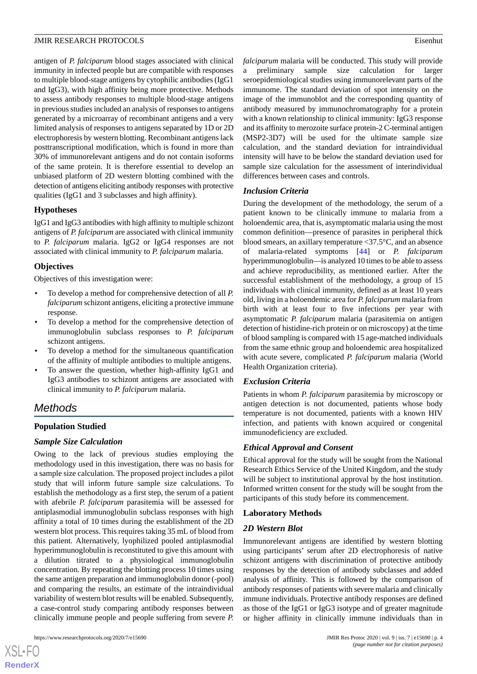antigen of *P. falciparum* blood stages associated with clinical immunity in infected people but are compatible with responses to multiple blood-stage antigens by cytophilic antibodies (IgG1 and IgG3), with high affinity being more protective. Methods to assess antibody responses to multiple blood-stage antigens in previous studies included an analysis of responses to antigens generated by a microarray of recombinant antigens and a very limited analysis of responses to antigens separated by 1D or 2D electrophoresis by western blotting. Recombinant antigens lack posttranscriptional modification, which is found in more than 30% of immunorelevant antigens and do not contain isoforms of the same protein. It is therefore essential to develop an unbiased platform of 2D western blotting combined with the detection of antigens eliciting antibody responses with protective qualities (IgG1 and 3 subclasses and high affinity).

## **Hypotheses**

IgG1 and IgG3 antibodies with high affinity to multiple schizont antigens of *P. falciparum* are associated with clinical immunity to *P. falciparum* malaria. IgG2 or IgG4 responses are not associated with clinical immunity to *P. falciparum* malaria.

#### **Objectives**

Objectives of this investigation were:

- To develop a method for comprehensive detection of all *P. falciparum* schizont antigens, eliciting a protective immune response.
- To develop a method for the comprehensive detection of immunoglobulin subclass responses to *P. falciparum* schizont antigens.
- To develop a method for the simultaneous quantification of the affinity of multiple antibodies to multiple antigens.
- To answer the question, whether high-affinity IgG1 and IgG3 antibodies to schizont antigens are associated with clinical immunity to *P. falciparum* malaria.

# *Methods*

### **Population Studied**

## *Sample Size Calculation*

Owing to the lack of previous studies employing the methodology used in this investigation, there was no basis for a sample size calculation. The proposed project includes a pilot study that will inform future sample size calculations. To establish the methodology as a first step, the serum of a patient with afebrile *P. falciparum* parasitemia will be assessed for antiplasmodial immunoglobulin subclass responses with high affinity a total of 10 times during the establishment of the 2D western blot process. This requires taking 35 mL of blood from this patient. Alternatively, lyophilized pooled antiplasmodial hyperimmunoglobulin is reconstituted to give this amount with a dilution titrated to a physiological immunoglobulin concentration. By repeating the blotting process 10 times using the same antigen preparation and immunoglobulin donor (-pool) and comparing the results, an estimate of the intraindividual variability of western blot results will be enabled. Subsequently, a case-control study comparing antibody responses between clinically immune people and people suffering from severe *P.*

 $XS$ -FO **[RenderX](http://www.renderx.com/)** *falciparum* malaria will be conducted. This study will provide a preliminary sample size calculation for larger seroepidemiological studies using immunorelevant parts of the immunome. The standard deviation of spot intensity on the image of the immunoblot and the corresponding quantity of antibody measured by immunochromatography for a protein with a known relationship to clinical immunity: IgG3 response and its affinity to merozoite surface protein-2 C-terminal antigen (MSP2-3D7) will be used for the ultimate sample size calculation, and the standard deviation for intraindividual intensity will have to be below the standard deviation used for sample size calculation for the assessment of interindividual differences between cases and controls.

#### *Inclusion Criteria*

During the development of the methodology, the serum of a patient known to be clinically immune to malaria from a holoendemic area, that is, asymptomatic malaria using the most common definition—presence of parasites in peripheral thick blood smears, an axillary temperature <37.5°C, and an absence of malaria-related symptoms [\[44](#page-12-5)] or *P. falciparum* hyperimmunoglobulin—is analyzed 10 times to be able to assess and achieve reproducibility, as mentioned earlier. After the successful establishment of the methodology, a group of 15 individuals with clinical immunity, defined as at least 10 years old, living in a holoendemic area for *P. falciparum* malaria from birth with at least four to five infections per year with asymptomatic *P. falciparum* malaria (parasitemia on antigen detection of histidine-rich protein or on microscopy) at the time of blood sampling is compared with 15 age-matched individuals from the same ethnic group and holoendemic area hospitalized with acute severe, complicated *P. falciparum* malaria (World Health Organization criteria).

## *Exclusion Criteria*

Patients in whom *P. falciparum* parasitemia by microscopy or antigen detection is not documented, patients whose body temperature is not documented, patients with a known HIV infection, and patients with known acquired or congenital immunodeficiency are excluded.

#### *Ethical Approval and Consent*

Ethical approval for the study will be sought from the National Research Ethics Service of the United Kingdom, and the study will be subject to institutional approval by the host institution. Informed written consent for the study will be sought from the participants of this study before its commencement.

#### **Laboratory Methods**

#### *2D Western Blot*

Immunorelevant antigens are identified by western blotting using participants' serum after 2D electrophoresis of native schizont antigens with discrimination of protective antibody responses by the detection of antibody subclasses and added analysis of affinity. This is followed by the comparison of antibody responses of patients with severe malaria and clinically immune individuals. Protective antibody responses are defined as those of the IgG1 or IgG3 isotype and of greater magnitude or higher affinity in clinically immune individuals than in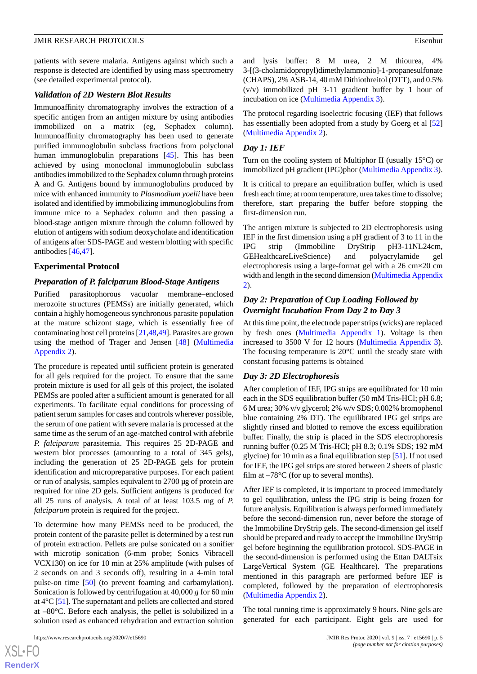patients with severe malaria. Antigens against which such a response is detected are identified by using mass spectrometry (see detailed experimental protocol).

## *Validation of 2D Western Blot Results*

Immunoaffinity chromatography involves the extraction of a specific antigen from an antigen mixture by using antibodies immobilized on a matrix (eg, Sephadex column). Immunoaffinity chromatography has been used to generate purified immunoglobulin subclass fractions from polyclonal human immunoglobulin preparations [\[45](#page-12-6)]. This has been achieved by using monoclonal immunoglobulin subclass antibodies immobilized to the Sephadex column through proteins A and G. Antigens bound by immunoglobulins produced by mice with enhanced immunity to *Plasmodium yoelii* have been isolated and identified by immobilizing immunoglobulins from immune mice to a Sephadex column and then passing a blood-stage antigen mixture through the column followed by elution of antigens with sodium deoxycholate and identification of antigens after SDS-PAGE and western blotting with specific antibodies [[46,](#page-12-7)[47\]](#page-12-8).

## **Experimental Protocol**

## *Preparation of P. falciparum Blood-Stage Antigens*

Purified parasitophorous vacuolar membrane–enclosed merozoite structures (PEMSs) are initially generated, which contain a highly homogeneous synchronous parasite population at the mature schizont stage, which is essentially free of contaminating host cell proteins [\[21](#page-11-6)[,48](#page-12-9),[49\]](#page-12-10). Parasites are grown using the method of Trager and Jensen [[48\]](#page-12-9) ([Multimedia](#page-10-11) [Appendix 2\)](#page-10-11).

The procedure is repeated until sufficient protein is generated for all gels required for the project. To ensure that the same protein mixture is used for all gels of this project, the isolated PEMSs are pooled after a sufficient amount is generated for all experiments. To facilitate equal conditions for processing of patient serum samples for cases and controls wherever possible, the serum of one patient with severe malaria is processed at the same time as the serum of an age-matched control with afebrile *P. falciparum* parasitemia. This requires 25 2D-PAGE and western blot processes (amounting to a total of 345 gels), including the generation of 25 2D-PAGE gels for protein identification and micropreparative purposes. For each patient or run of analysis, samples equivalent to 2700 μg of protein are required for nine 2D gels. Sufficient antigens is produced for all 25 runs of analysis. A total of at least 103.5 mg of *P. falciparum* protein is required for the project.

To determine how many PEMSs need to be produced, the protein content of the parasite pellet is determined by a test run of protein extraction. Pellets are pulse sonicated on a sonifier with microtip sonication (6-mm probe; Sonics Vibracell VCX130) on ice for 10 min at 25% amplitude (with pulses of 2 seconds on and 3 seconds off), resulting in a 4-min total pulse-on time [\[50](#page-12-11)] (to prevent foaming and carbamylation). Sonication is followed by centrifugation at 40,000 *g* for 60 min at 4°C [\[51](#page-12-12)]. The supernatant and pellets are collected and stored at –80°C. Before each analysis, the pellet is solubilized in a solution used as enhanced rehydration and extraction solution

 $XS$ -FO **[RenderX](http://www.renderx.com/)** and lysis buffer: 8 M urea, 2 M thiourea, 4% 3-[(3-cholamidopropyl)dimethylammonio]-1-propanesulfonate (CHAPS), 2% ASB-14, 40 mM Dithiothreitol (DTT), and 0.5% (v/v) immobilized pH 3-11 gradient buffer by 1 hour of incubation on ice [\(Multimedia Appendix 3](#page-10-12)).

The protocol regarding isoelectric focusing (IEF) that follows has essentially been adopted from a study by Goerg et al [\[52](#page-12-13)] ([Multimedia Appendix 2](#page-10-11)).

# *Day 1: IEF*

Turn on the cooling system of Multiphor II (usually 15°C) or immobilized pH gradient (IPG)phor ([Multimedia Appendix 3\)](#page-10-12).

It is critical to prepare an equilibration buffer, which is used fresh each time; at room temperature, urea takes time to dissolve; therefore, start preparing the buffer before stopping the first-dimension run.

The antigen mixture is subjected to 2D electrophoresis using IEF in the first dimension using a pH gradient of 3 to 11 in the IPG strip (Immobiline DryStrip pH3-11NL24cm, GEHealthcareLiveScience) and polyacrylamide gel electrophoresis using a large-format gel with a 26 cm×20 cm width and length in the second dimension [\(Multimedia Appendix](#page-10-11) [2\)](#page-10-11).

# *Day 2: Preparation of Cup Loading Followed by Overnight Incubation From Day 2 to Day 3*

At this time point, the electrode paper strips (wicks) are replaced by fresh ones ([Multimedia Appendix 1](#page-10-10)). Voltage is then increased to 3500 V for 12 hours ([Multimedia Appendix 3\)](#page-10-12). The focusing temperature is 20°C until the steady state with constant focusing patterns is obtained

# *Day 3: 2D Electrophoresis*

After completion of IEF, IPG strips are equilibrated for 10 min each in the SDS equilibration buffer (50 mM Tris-HCl; pH 6.8; 6 M urea; 30% v/v glycerol; 2% w/v SDS; 0.002% bromophenol blue containing 2% DT). The equilibrated IPG gel strips are slightly rinsed and blotted to remove the excess equilibration buffer. Finally, the strip is placed in the SDS electrophoresis running buffer (0.25 M Tris-HCl; pH 8.3; 0.1% SDS; 192 mM glycine) for 10 min as a final equilibration step [\[51](#page-12-12)]. If not used for IEF, the IPG gel strips are stored between 2 sheets of plastic film at  $-78^{\circ}$ C (for up to several months).

After IEF is completed, it is important to proceed immediately to gel equilibration, unless the IPG strip is being frozen for future analysis. Equilibration is always performed immediately before the second-dimension run, never before the storage of the Immobiline DryStrip gels. The second-dimension gel itself should be prepared and ready to accept the Immobiline DryStrip gel before beginning the equilibration protocol. SDS-PAGE in the second-dimension is performed using the Ettan DALTsix LargeVertical System (GE Healthcare). The preparations mentioned in this paragraph are performed before IEF is completed, followed by the preparation of electrophoresis ([Multimedia Appendix 2](#page-10-11)).

The total running time is approximately 9 hours. Nine gels are generated for each participant. Eight gels are used for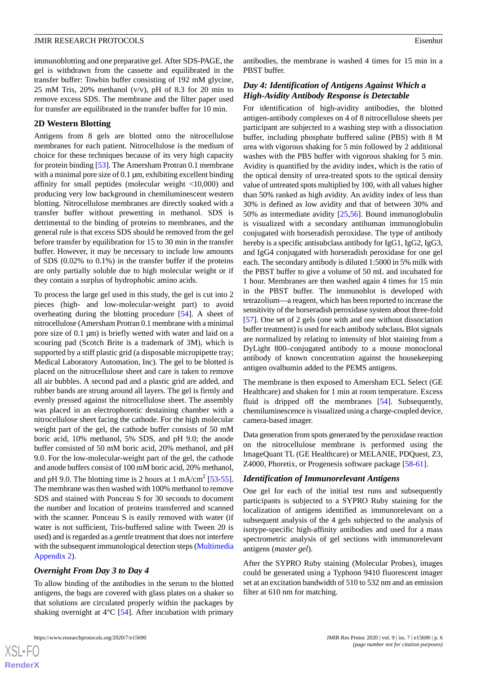immunoblotting and one preparative gel. After SDS-PAGE, the gel is withdrawn from the cassette and equilibrated in the transfer buffer: Towbin buffer consisting of 192 mM glycine, 25 mM Tris, 20% methanol  $(v/v)$ , pH of 8.3 for 20 min to remove excess SDS. The membrane and the filter paper used for transfer are equilibrated in the transfer buffer for 10 min.

#### **2D Western Blotting**

Antigens from 8 gels are blotted onto the nitrocellulose membranes for each patient. Nitrocellulose is the medium of choice for these techniques because of its very high capacity for protein binding [\[53](#page-12-14)]. The Amersham Protran 0.1 membrane with a minimal pore size of 0.1 μm, exhibiting excellent binding affinity for small peptides (molecular weight <10,000) and producing very low background in chemiluminescent western blotting. Nitrocellulose membranes are directly soaked with a transfer buffer without prewetting in methanol. SDS is detrimental to the binding of proteins to membranes, and the general rule is that excess SDS should be removed from the gel before transfer by equilibration for 15 to 30 min in the transfer buffer. However, it may be necessary to include low amounts of SDS (0.02% to 0.1%) in the transfer buffer if the proteins are only partially soluble due to high molecular weight or if they contain a surplus of hydrophobic amino acids.

To process the large gel used in this study, the gel is cut into 2 pieces (high- and low-molecular-weight part) to avoid overheating during the blotting procedure [[54\]](#page-13-0). A sheet of nitrocellulose (Amersham Protran 0.1 membrane with a minimal pore size of 0.1 μm) is briefly wetted with water and laid on a scouring pad (Scotch Brite is a trademark of 3M), which is supported by a stiff plastic grid (a disposable micropipette tray; Medical Laboratory Automation, Inc). The gel to be blotted is placed on the nitrocellulose sheet and care is taken to remove all air bubbles. A second pad and a plastic grid are added, and rubber bands are strung around all layers. The gel is firmly and evenly pressed against the nitrocellulose sheet. The assembly was placed in an electrophoretic destaining chamber with a nitrocellulose sheet facing the cathode. For the high molecular weight part of the gel, the cathode buffer consists of 50 mM boric acid, 10% methanol, 5% SDS, and pH 9.0; the anode buffer consisted of 50 mM boric acid, 20% methanol, and pH 9.0. For the low-molecular-weight part of the gel, the cathode and anode buffers consist of 100 mM boric acid, 20% methanol, and pH 9.0. The blotting time is 2 hours at 1 mA/cm<sup>2</sup> [\[53](#page-12-14)-[55\]](#page-13-1). The membrane was then washed with 100% methanol to remove SDS and stained with Ponceau S for 30 seconds to document the number and location of proteins transferred and scanned with the scanner. Ponceau S is easily removed with water (if water is not sufficient, Tris-buffered saline with Tween 20 is used) and is regarded as a *gentle* treatment that does not interfere with the subsequent immunological detection steps ([Multimedia](#page-10-11) [Appendix 2\)](#page-10-11).

## *Overnight From Day 3 to Day 4*

To allow binding of the antibodies in the serum to the blotted antigens, the bags are covered with glass plates on a shaker so that solutions are circulated properly within the packages by shaking overnight at 4°C [\[54](#page-13-0)]. After incubation with primary

antibodies, the membrane is washed 4 times for 15 min in a PBST buffer.

## *Day 4: Identification of Antigens Against Which a High-Avidity Antibody Response is Detectable*

For identification of high-avidity antibodies, the blotted antigen-antibody complexes on 4 of 8 nitrocellulose sheets per participant are subjected to a washing step with a dissociation buffer, including phosphate buffered saline (PBS) with 8 M urea with vigorous shaking for 5 min followed by 2 additional washes with the PBS buffer with vigorous shaking for 5 min. Avidity is quantified by the avidity index, which is the ratio of the optical density of urea-treated spots to the optical density value of untreated spots multiplied by 100, with all values higher than 50% ranked as high avidity. An avidity index of less than 30% is defined as low avidity and that of between 30% and 50% as intermediate avidity [[25,](#page-11-16)[56](#page-13-2)]. Bound immunoglobulin is visualized with a secondary antihuman immunoglobulin conjugated with horseradish peroxidase. The type of antibody hereby is a specific antisubclass antibody for IgG1, IgG2, IgG3, and IgG4 conjugated with horseradish peroxidase for one gel each. The secondary antibody is diluted 1:5000 in 5% milk with the PBST buffer to give a volume of 50 mL and incubated for 1 hour. Membranes are then washed again 4 times for 15 min in the PBST buffer. The immunoblot is developed with tetrazolium—a reagent, which has been reported to increase the sensitivity of the horseradish peroxidase system about three-fold [[57\]](#page-13-3). One set of 2 gels (one with and one without dissociation buffer treatment) is used for each antibody subclass**.** Blot signals are normalized by relating to intensity of blot staining from a DyLight 800–conjugated antibody to a mouse monoclonal antibody of known concentration against the housekeeping antigen ovalbumin added to the PEMS antigens.

The membrane is then exposed to Amersham ECL Select (GE Healthcare) and shaken for 1 min at room temperature. Excess fluid is dripped off the membranes [\[54](#page-13-0)]. Subsequently, chemiluminescence is visualized using a charge-coupled device, camera-based imager.

Data generation from spots generated by the peroxidase reaction on the nitrocellulose membrane is performed using the ImageQuant TL (GE Healthcare) or MELANIE, PDQuest, Z3, Z4000, Phoretix, or Progenesis software package [[58-](#page-13-4)[61](#page-13-5)].

## *Identification of Immunorelevant Antigens*

One gel for each of the initial test runs and subsequently participants is subjected to a SYPRO Ruby staining for the localization of antigens identified as immunorelevant on a subsequent analysis of the 4 gels subjected to the analysis of isotype-specific high-affinity antibodies and used for a mass spectrometric analysis of gel sections with immunorelevant antigens (*master gel*).

After the SYPRO Ruby staining (Molecular Probes), images could be generated using a Typhoon 9410 fluorescent imager set at an excitation bandwidth of 510 to 532 nm and an emission filter at 610 nm for matching.

 $XS$ -FO **[RenderX](http://www.renderx.com/)**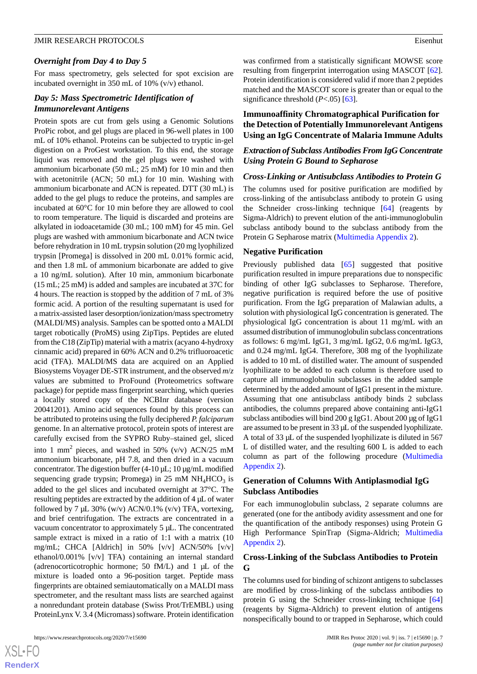#### *Overnight from Day 4 to Day 5*

For mass spectrometry, gels selected for spot excision are incubated overnight in 350 mL of 10% (v/v) ethanol.

## *Day 5: Mass Spectrometric Identification of Immunorelevant Antigens*

Protein spots are cut from gels using a Genomic Solutions ProPic robot, and gel plugs are placed in 96-well plates in 100 mL of 10% ethanol. Proteins can be subjected to tryptic in-gel digestion on a ProGest workstation. To this end, the storage liquid was removed and the gel plugs were washed with ammonium bicarbonate (50 mL; 25 mM) for 10 min and then with acetonitrile (ACN; 50 mL) for 10 min. Washing with ammonium bicarbonate and ACN is repeated. DTT (30 mL) is added to the gel plugs to reduce the proteins, and samples are incubated at 60°C for 10 min before they are allowed to cool to room temperature. The liquid is discarded and proteins are alkylated in iodoacetamide (30 mL; 100 mM) for 45 min. Gel plugs are washed with ammonium bicarbonate and ACN twice before rehydration in 10 mL trypsin solution (20 mg lyophilized trypsin [Promega] is dissolved in 200 mL 0.01% formic acid, and then 1.8 mL of ammonium bicarbonate are added to give a 10 ng/mL solution). After 10 min, ammonium bicarbonate (15 mL; 25 mM) is added and samples are incubated at 37C for 4 hours. The reaction is stopped by the addition of 7 mL of 3% formic acid. A portion of the resulting supernatant is used for a matrix-assisted laser desorption/ionization/mass spectrometry (MALDI/MS) analysis. Samples can be spotted onto a MALDI target robotically (ProMS) using ZipTips. Peptides are eluted from the C18 (ZipTip) material with a matrix (acyano 4-hydroxy cinnamic acid) prepared in 60% ACN and 0.2% trifluoroacetic acid (TFA). MALDI/MS data are acquired on an Applied Biosystems Voyager DE-STR instrument, and the observed *m*/*z* values are submitted to ProFound (Proteometrics software package) for peptide mass fingerprint searching, which queries a locally stored copy of the NCBInr database (version 20041201). Amino acid sequences found by this process can be attributed to proteins using the fully deciphered *P. falciparum* genome. In an alternative protocol, protein spots of interest are carefully excised from the SYPRO Ruby–stained gel, sliced into 1 mm<sup>2</sup> pieces, and washed in 50% (v/v) ACN/25 mM ammonium bicarbonate, pH 7.8, and then dried in a vacuum concentrator. The digestion buffer  $(4-10 \mu L; 10 \mu g/mL$  modified sequencing grade trypsin; Promega) in  $25 \text{ mM } NH_4HCO_3$  is added to the gel slices and incubated overnight at 37°C. The resulting peptides are extracted by the addition of 4 µL of water followed by 7  $\mu$ L 30% (w/v) ACN/0.1% (v/v) TFA, vortexing, and brief centrifugation. The extracts are concentrated in a vacuum concentrator to approximately 5 µL. The concentrated sample extract is mixed in a ratio of 1:1 with a matrix (10 mg/mL; CHCA [Aldrich] in 50% [v/v] ACN/50% [v/v] ethanol/0.001% [v/v] TFA) containing an internal standard (adrenocorticotrophic hormone; 50 fM/L) and 1 µL of the mixture is loaded onto a 96-position target. Peptide mass fingerprints are obtained semiautomatically on a MALDI mass spectrometer, and the resultant mass lists are searched against a nonredundant protein database (Swiss Prot/TrEMBL) using ProteinLynx V. 3.4 (Micromass) software. Protein identification

was confirmed from a statistically significant MOWSE score resulting from fingerprint interrogation using MASCOT [[62\]](#page-13-6). Protein identification is considered valid if more than 2 peptides matched and the MASCOT score is greater than or equal to the significance threshold (*P*<.05) [[63\]](#page-13-7).

# **Immunoaffinity Chromatographical Purification for the Detection of Potentially Immunorelevant Antigens Using an IgG Concentrate of Malaria Immune Adults**

## *Extraction of Subclass Antibodies From IgG Concentrate Using Protein G Bound to Sepharose*

## *Cross-Linking or Antisubclass Antibodies to Protein G*

The columns used for positive purification are modified by cross-linking of the antisubclass antibody to protein G using the Schneider cross-linking technique [[64\]](#page-13-8) (reagents by Sigma-Aldrich) to prevent elution of the anti-immunoglobulin subclass antibody bound to the subclass antibody from the Protein G Sepharose matrix [\(Multimedia Appendix 2](#page-10-11)).

### **Negative Purification**

Previously published data [\[65](#page-13-9)] suggested that positive purification resulted in impure preparations due to nonspecific binding of other IgG subclasses to Sepharose. Therefore, negative purification is required before the use of positive purification. From the IgG preparation of Malawian adults, a solution with physiological IgG concentration is generated. The physiological IgG concentration is about 11 mg/mL with an assumed distribution of immunoglobulin subclass concentrations as follows: 6 mg/mL IgG1, 3 mg/mL IgG2, 0.6 mg/mL IgG3, and 0.24 mg/mL IgG4. Therefore, 308 mg of the lyophilizate is added to 10 mL of distilled water. The amount of suspended lyophilizate to be added to each column is therefore used to capture all immunoglobulin subclasses in the added sample determined by the added amount of IgG1 present in the mixture. Assuming that one antisubclass antibody binds 2 subclass antibodies, the columns prepared above containing anti-IgG1 subclass antibodies will bind 200 g IgG1. About 200 µg of IgG1 are assumed to be present in 33 µL of the suspended lyophilizate. A total of 33 µL of the suspended lyophilizate is diluted in 567 L of distilled water, and the resulting 600 L is added to each column as part of the following procedure [\(Multimedia](#page-10-11) [Appendix 2\)](#page-10-11).

# **Generation of Columns With Antiplasmodial IgG Subclass Antibodies**

For each immunoglobulin subclass, 2 separate columns are generated (one for the antibody avidity assessment and one for the quantification of the antibody responses) using Protein G High Performance SpinTrap (Sigma-Aldrich; [Multimedia](#page-10-11) [Appendix 2\)](#page-10-11).

## **Cross-Linking of the Subclass Antibodies to Protein G**

The columns used for binding of schizont antigens to subclasses are modified by cross-linking of the subclass antibodies to protein G using the Schneider cross-linking technique [\[64](#page-13-8)] (reagents by Sigma-Aldrich) to prevent elution of antigens nonspecifically bound to or trapped in Sepharose, which could

 $XS$ -FO **[RenderX](http://www.renderx.com/)**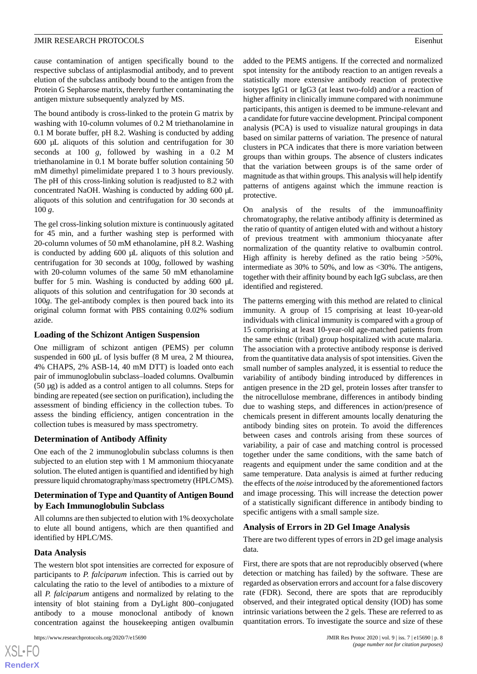cause contamination of antigen specifically bound to the respective subclass of antiplasmodial antibody, and to prevent elution of the subclass antibody bound to the antigen from the Protein G Sepharose matrix, thereby further contaminating the antigen mixture subsequently analyzed by MS.

The bound antibody is cross-linked to the protein G matrix by washing with 10-column volumes of 0.2 M triethanolamine in 0.1 M borate buffer, pH 8.2. Washing is conducted by adding 600 µL aliquots of this solution and centrifugation for 30 seconds at 100 *g*, followed by washing in a 0.2 M triethanolamine in 0.1 M borate buffer solution containing 50 mM dimethyl pimelimidate prepared 1 to 3 hours previously. The pH of this cross-linking solution is readjusted to 8.2 with concentrated NaOH. Washing is conducted by adding 600 µL aliquots of this solution and centrifugation for 30 seconds at 100 *g*.

The gel cross-linking solution mixture is continuously agitated for 45 min, and a further washing step is performed with 20-column volumes of 50 mM ethanolamine, pH 8.2. Washing is conducted by adding 600 µL aliquots of this solution and centrifugation for 30 seconds at 100*g*, followed by washing with 20-column volumes of the same 50 mM ethanolamine buffer for 5 min. Washing is conducted by adding 600  $\mu$ L aliquots of this solution and centrifugation for 30 seconds at 100*g*. The gel-antibody complex is then poured back into its original column format with PBS containing 0.02% sodium azide.

## **Loading of the Schizont Antigen Suspension**

One milligram of schizont antigen (PEMS) per column suspended in 600 µL of lysis buffer (8 M urea, 2 M thiourea, 4% CHAPS, 2% ASB-14, 40 mM DTT) is loaded onto each pair of immunoglobulin subclass–loaded columns. Ovalbumin (50 µg) is added as a control antigen to all columns. Steps for binding are repeated (see section on purification), including the assessment of binding efficiency in the collection tubes. To assess the binding efficiency, antigen concentration in the collection tubes is measured by mass spectrometry.

# **Determination of Antibody Affinity**

One each of the 2 immunoglobulin subclass columns is then subjected to an elution step with 1 M ammonium thiocyanate solution. The eluted antigen is quantified and identified by high pressure liquid chromatography/mass spectrometry (HPLC/MS).

# **Determination of Type and Quantity of Antigen Bound by Each Immunoglobulin Subclass**

All columns are then subjected to elution with 1% deoxycholate to elute all bound antigens, which are then quantified and identified by HPLC/MS.

## **Data Analysis**

The western blot spot intensities are corrected for exposure of participants to *P. falciparum* infection. This is carried out by calculating the ratio to the level of antibodies to a mixture of all *P. falciparum* antigens and normalized by relating to the intensity of blot staining from a DyLight 800–conjugated antibody to a mouse monoclonal antibody of known concentration against the housekeeping antigen ovalbumin

added to the PEMS antigens. If the corrected and normalized spot intensity for the antibody reaction to an antigen reveals a statistically more extensive antibody reaction of protective isotypes IgG1 or IgG3 (at least two-fold) and/or a reaction of higher affinity in clinically immune compared with nonimmune participants, this antigen is deemed to be immune-relevant and a candidate for future vaccine development. Principal component analysis (PCA) is used to visualize natural groupings in data based on similar patterns of variation. The presence of natural clusters in PCA indicates that there is more variation between groups than within groups. The absence of clusters indicates that the variation between groups is of the same order of magnitude as that within groups. This analysis will help identify patterns of antigens against which the immune reaction is protective.

On analysis of the results of the immunoaffinity chromatography, the relative antibody affinity is determined as the ratio of quantity of antigen eluted with and without a history of previous treatment with ammonium thiocyanate after normalization of the quantity relative to ovalbumin control. High affinity is hereby defined as the ratio being >50%, intermediate as 30% to 50%, and low as <30%. The antigens, together with their affinity bound by each IgG subclass, are then identified and registered.

The patterns emerging with this method are related to clinical immunity. A group of 15 comprising at least 10-year-old individuals with clinical immunity is compared with a group of 15 comprising at least 10-year-old age-matched patients from the same ethnic (tribal) group hospitalized with acute malaria. The association with a protective antibody response is derived from the quantitative data analysis of spot intensities. Given the small number of samples analyzed, it is essential to reduce the variability of antibody binding introduced by differences in antigen presence in the 2D gel, protein losses after transfer to the nitrocellulose membrane, differences in antibody binding due to washing steps, and differences in action/presence of chemicals present in different amounts locally denaturing the antibody binding sites on protein. To avoid the differences between cases and controls arising from these sources of variability, a pair of case and matching control is processed together under the same conditions, with the same batch of reagents and equipment under the same condition and at the same temperature. Data analysis is aimed at further reducing the effects of the *noise* introduced by the aforementioned factors and image processing. This will increase the detection power of a statistically significant difference in antibody binding to specific antigens with a small sample size.

## **Analysis of Errors in 2D Gel Image Analysis**

There are two different types of errors in 2D gel image analysis data.

First, there are spots that are not reproducibly observed (where detection or matching has failed) by the software. These are regarded as observation errors and account for a false discovery rate (FDR). Second, there are spots that are reproducibly observed, and their integrated optical density (IOD) has some intrinsic variations between the 2 gels. These are referred to as quantitation errors. To investigate the source and size of these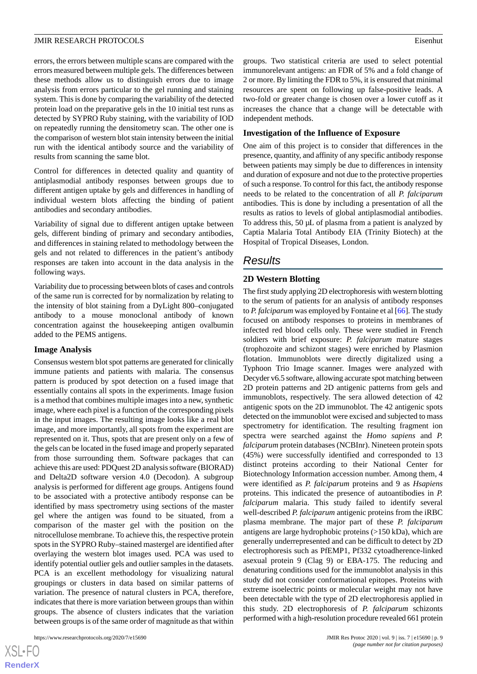errors, the errors between multiple scans are compared with the errors measured between multiple gels. The differences between these methods allow us to distinguish errors due to image analysis from errors particular to the gel running and staining system. This is done by comparing the variability of the detected protein load on the preparative gels in the 10 initial test runs as detected by SYPRO Ruby staining, with the variability of IOD on repeatedly running the densitometry scan. The other one is the comparison of western blot stain intensity between the initial run with the identical antibody source and the variability of results from scanning the same blot.

Control for differences in detected quality and quantity of antiplasmodial antibody responses between groups due to different antigen uptake by gels and differences in handling of individual western blots affecting the binding of patient antibodies and secondary antibodies.

Variability of signal due to different antigen uptake between gels, different binding of primary and secondary antibodies, and differences in staining related to methodology between the gels and not related to differences in the patient's antibody responses are taken into account in the data analysis in the following ways.

Variability due to processing between blots of cases and controls of the same run is corrected for by normalization by relating to the intensity of blot staining from a DyLight 800–conjugated antibody to a mouse monoclonal antibody of known concentration against the housekeeping antigen ovalbumin added to the PEMS antigens.

#### **Image Analysis**

Consensus western blot spot patterns are generated for clinically immune patients and patients with malaria. The consensus pattern is produced by spot detection on a fused image that essentially contains all spots in the experiments. Image fusion is a method that combines multiple images into a new, synthetic image, where each pixel is a function of the corresponding pixels in the input images. The resulting image looks like a real blot image, and more importantly, all spots from the experiment are represented on it. Thus, spots that are present only on a few of the gels can be located in the fused image and properly separated from those surrounding them. Software packages that can achieve this are used: PDQuest 2D analysis software (BIORAD) and Delta2D software version 4.0 (Decodon). A subgroup analysis is performed for different age groups. Antigens found to be associated with a protective antibody response can be identified by mass spectrometry using sections of the master gel where the antigen was found to be situated, from a comparison of the master gel with the position on the nitrocellulose membrane. To achieve this, the respective protein spots in the SYPRO Ruby–stained mastergel are identified after overlaying the western blot images used. PCA was used to identify potential outlier gels and outlier samples in the datasets. PCA is an excellent methodology for visualizing natural groupings or clusters in data based on similar patterns of variation. The presence of natural clusters in PCA, therefore, indicates that there is more variation between groups than within groups. The absence of clusters indicates that the variation between groups is of the same order of magnitude as that within

groups. Two statistical criteria are used to select potential immunorelevant antigens: an FDR of 5% and a fold change of 2 or more. By limiting the FDR to 5%, it is ensured that minimal resources are spent on following up false-positive leads. A two-fold or greater change is chosen over a lower cutoff as it increases the chance that a change will be detectable with independent methods.

### **Investigation of the Influence of Exposure**

One aim of this project is to consider that differences in the presence, quantity, and affinity of any specific antibody response between patients may simply be due to differences in intensity and duration of exposure and not due to the protective properties of such a response. To control for this fact, the antibody response needs to be related to the concentration of all *P. falciparum* antibodies. This is done by including a presentation of all the results as ratios to levels of global antiplasmodial antibodies. To address this, 50 µL of plasma from a patient is analyzed by Captia Malaria Total Antibody EIA (Trinity Biotech) at the Hospital of Tropical Diseases, London.

# *Results*

## **2D Western Blotting**

The first study applying 2D electrophoresis with western blotting to the serum of patients for an analysis of antibody responses to *P. falciparum* was employed by Fontaine et al [\[66](#page-13-10)]. The study focused on antibody responses to proteins in membranes of infected red blood cells only. These were studied in French soldiers with brief exposure: *P. falciparum* mature stages (trophozoite and schizont stages) were enriched by Plasmion flotation. Immunoblots were directly digitalized using a Typhoon Trio Image scanner. Images were analyzed with Decyder v6.5 software, allowing accurate spot matching between 2D protein patterns and 2D antigenic patterns from gels and immunoblots, respectively. The sera allowed detection of 42 antigenic spots on the 2D immunoblot. The 42 antigenic spots detected on the immunoblot were excised and subjected to mass spectrometry for identification. The resulting fragment ion spectra were searched against the *Homo sapiens* and *P. falciparum* protein databases (NCBInr). Nineteen protein spots (45%) were successfully identified and corresponded to 13 distinct proteins according to their National Center for Biotechnology Information accession number. Among them, 4 were identified as *P. falciparum* proteins and 9 as *Hsapiens* proteins. This indicated the presence of autoantibodies in *P. falciparum* malaria. This study failed to identify several well-described *P. falciparum* antigenic proteins from the iRBC plasma membrane. The major part of these *P. falciparum* antigens are large hydrophobic proteins (>150 kDa), which are generally underrepresented and can be difficult to detect by 2D electrophoresis such as PfEMP1, Pf332 cytoadherence-linked asexual protein 9 (Clag 9) or EBA-175. The reducing and denaturing conditions used for the immunoblot analysis in this study did not consider conformational epitopes. Proteins with extreme isoelectric points or molecular weight may not have been detectable with the type of 2D electrophoresis applied in this study. 2D electrophoresis of *P. falciparum* schizonts performed with a high-resolution procedure revealed 661 protein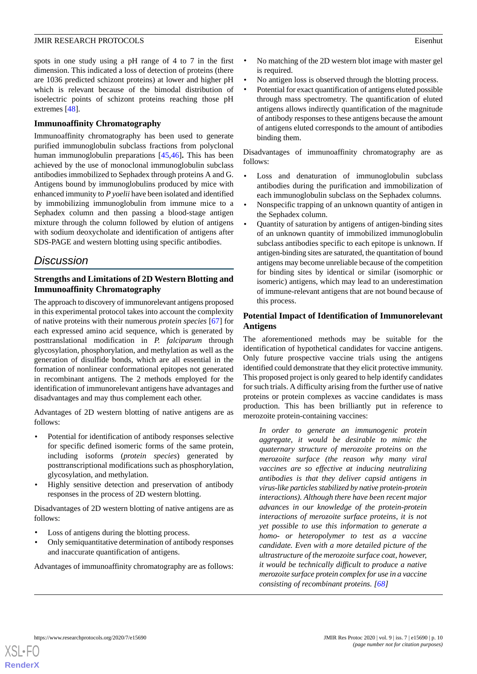spots in one study using a pH range of 4 to 7 in the first dimension. This indicated a loss of detection of proteins (there are 1036 predicted schizont proteins) at lower and higher pH which is relevant because of the bimodal distribution of isoelectric points of schizont proteins reaching those pH extremes [\[48](#page-12-9)].

## **Immunoaffinity Chromatography**

Immunoaffinity chromatography has been used to generate purified immunoglobulin subclass fractions from polyclonal human immunoglobulin preparations [\[45](#page-12-6),[46\]](#page-12-7)**.** This has been achieved by the use of monoclonal immunoglobulin subclass antibodies immobilized to Sephadex through proteins A and G. Antigens bound by immunoglobulins produced by mice with enhanced immunity to *P yoelii* have been isolated and identified by immobilizing immunoglobulin from immune mice to a Sephadex column and then passing a blood-stage antigen mixture through the column followed by elution of antigens with sodium deoxycholate and identification of antigens after SDS-PAGE and western blotting using specific antibodies.

# *Discussion*

# **Strengths and Limitations of 2D Western Blotting and Immunoaffinity Chromatography**

The approach to discovery of immunorelevant antigens proposed in this experimental protocol takes into account the complexity of native proteins with their numerous *protein species* [\[67](#page-13-11)] for each expressed amino acid sequence, which is generated by posttranslational modification in *P. falciparum* through glycosylation, phosphorylation, and methylation as well as the generation of disulfide bonds, which are all essential in the formation of nonlinear conformational epitopes not generated in recombinant antigens. The 2 methods employed for the identification of immunorelevant antigens have advantages and disadvantages and may thus complement each other.

Advantages of 2D western blotting of native antigens are as follows:

- Potential for identification of antibody responses selective for specific defined isomeric forms of the same protein, including isoforms (*protein species*) generated by posttranscriptional modifications such as phosphorylation, glycosylation, and methylation.
- Highly sensitive detection and preservation of antibody responses in the process of 2D western blotting.

Disadvantages of 2D western blotting of native antigens are as follows:

- Loss of antigens during the blotting process.
- Only semiquantitative determination of antibody responses and inaccurate quantification of antigens.

Advantages of immunoaffinity chromatography are as follows:

- No matching of the 2D western blot image with master gel is required.
- No antigen loss is observed through the blotting process.
- Potential for exact quantification of antigens eluted possible through mass spectrometry. The quantification of eluted antigens allows indirectly quantification of the magnitude of antibody responses to these antigens because the amount of antigens eluted corresponds to the amount of antibodies binding them.

Disadvantages of immunoaffinity chromatography are as follows:

- Loss and denaturation of immunoglobulin subclass antibodies during the purification and immobilization of each immunoglobulin subclass on the Sephadex columns.
- Nonspecific trapping of an unknown quantity of antigen in the Sephadex column.
- Quantity of saturation by antigens of antigen-binding sites of an unknown quantity of immobilized immunoglobulin subclass antibodies specific to each epitope is unknown. If antigen-binding sites are saturated, the quantitation of bound antigens may become unreliable because of the competition for binding sites by identical or similar (isomorphic or isomeric) antigens, which may lead to an underestimation of immune-relevant antigens that are not bound because of this process.

# **Potential Impact of Identification of Immunorelevant Antigens**

The aforementioned methods may be suitable for the identification of hypothetical candidates for vaccine antigens. Only future prospective vaccine trials using the antigens identified could demonstrate that they elicit protective immunity. This proposed project is only geared to help identify candidates for such trials. A difficulty arising from the further use of native proteins or protein complexes as vaccine candidates is mass production. This has been brilliantly put in reference to merozoite protein-containing vaccines:

*In order to generate an immunogenic protein aggregate, it would be desirable to mimic the quaternary structure of merozoite proteins on the merozoite surface (the reason why many viral vaccines are so effective at inducing neutralizing antibodies is that they deliver capsid antigens in virus-like particles stabilized by native protein-protein interactions). Although there have been recent major advances in our knowledge of the protein-protein interactions of merozoite surface proteins, it is not yet possible to use this information to generate a homo- or heteropolymer to test as a vaccine candidate. Even with a more detailed picture of the ultrastructure of the merozoite surface coat, however, it would be technically difficult to produce a native merozoite surface protein complex for use in a vaccine consisting of recombinant proteins. [[68\]](#page-13-12)*

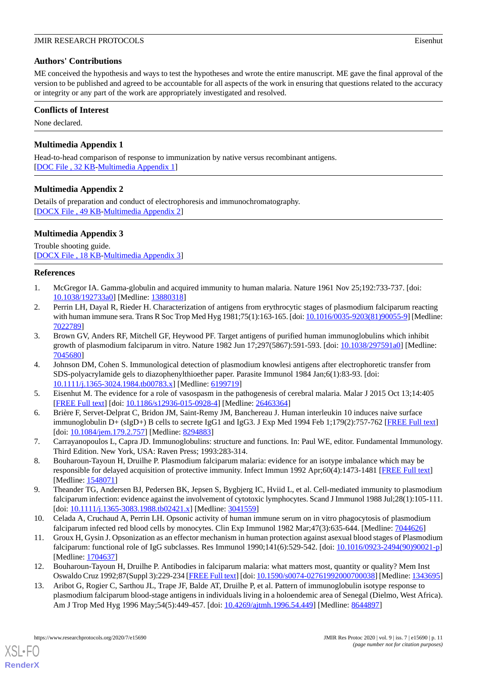# **Authors' Contributions**

ME conceived the hypothesis and ways to test the hypotheses and wrote the entire manuscript. ME gave the final approval of the version to be published and agreed to be accountable for all aspects of the work in ensuring that questions related to the accuracy or integrity or any part of the work are appropriately investigated and resolved.

## **Conflicts of Interest**

<span id="page-10-10"></span>None declared.

# **Multimedia Appendix 1**

<span id="page-10-11"></span>Head-to-head comparison of response to immunization by native versus recombinant antigens. [[DOC File , 32 KB-Multimedia Appendix 1](https://jmir.org/api/download?alt_name=resprot_v9i7e15690_app1.doc&filename=6bdf32f31117cb085bf85eb244a70d64.doc)]

# **Multimedia Appendix 2**

<span id="page-10-12"></span>Details of preparation and conduct of electrophoresis and immunochromatography. [[DOCX File , 49 KB](https://jmir.org/api/download?alt_name=resprot_v9i7e15690_app2.docx&filename=b8c179312288935a7e88122834fb376d.docx)-[Multimedia Appendix 2\]](https://jmir.org/api/download?alt_name=resprot_v9i7e15690_app2.docx&filename=b8c179312288935a7e88122834fb376d.docx)

# **Multimedia Appendix 3**

<span id="page-10-0"></span>Trouble shooting guide. [[DOCX File , 18 KB](https://jmir.org/api/download?alt_name=resprot_v9i7e15690_app3.docx&filename=5318ad4a0d88cd42f0e3c113d1084b7b.docx)-[Multimedia Appendix 3\]](https://jmir.org/api/download?alt_name=resprot_v9i7e15690_app3.docx&filename=5318ad4a0d88cd42f0e3c113d1084b7b.docx)

# <span id="page-10-1"></span>**References**

- 1. McGregor IA. Gamma-globulin and acquired immunity to human malaria. Nature 1961 Nov 25;192:733-737. [doi: [10.1038/192733a0](http://dx.doi.org/10.1038/192733a0)] [Medline: [13880318](http://www.ncbi.nlm.nih.gov/entrez/query.fcgi?cmd=Retrieve&db=PubMed&list_uids=13880318&dopt=Abstract)]
- <span id="page-10-2"></span>2. Perrin LH, Dayal R, Rieder H. Characterization of antigens from erythrocytic stages of plasmodium falciparum reacting with human immune sera. Trans R Soc Trop Med Hyg 1981;75(1):163-165. [doi: [10.1016/0035-9203\(81\)90055-9\]](http://dx.doi.org/10.1016/0035-9203(81)90055-9) [Medline: [7022789\]](http://www.ncbi.nlm.nih.gov/entrez/query.fcgi?cmd=Retrieve&db=PubMed&list_uids=7022789&dopt=Abstract)
- <span id="page-10-3"></span>3. Brown GV, Anders RF, Mitchell GF, Heywood PF. Target antigens of purified human immunoglobulins which inhibit growth of plasmodium falciparum in vitro. Nature 1982 Jun 17;297(5867):591-593. [doi: [10.1038/297591a0](http://dx.doi.org/10.1038/297591a0)] [Medline: [7045680\]](http://www.ncbi.nlm.nih.gov/entrez/query.fcgi?cmd=Retrieve&db=PubMed&list_uids=7045680&dopt=Abstract)
- <span id="page-10-5"></span><span id="page-10-4"></span>4. Johnson DM, Cohen S. Immunological detection of plasmodium knowlesi antigens after electrophoretic transfer from SDS-polyacrylamide gels to diazophenylthioether paper. Parasite Immunol 1984 Jan;6(1):83-93. [doi: [10.1111/j.1365-3024.1984.tb00783.x\]](http://dx.doi.org/10.1111/j.1365-3024.1984.tb00783.x) [Medline: [6199719](http://www.ncbi.nlm.nih.gov/entrez/query.fcgi?cmd=Retrieve&db=PubMed&list_uids=6199719&dopt=Abstract)]
- <span id="page-10-6"></span>5. Eisenhut M. The evidence for a role of vasospasm in the pathogenesis of cerebral malaria. Malar J 2015 Oct 13;14:405 [[FREE Full text](https://malariajournal.biomedcentral.com/articles/10.1186/s12936-015-0928-4)] [doi: [10.1186/s12936-015-0928-4\]](http://dx.doi.org/10.1186/s12936-015-0928-4) [Medline: [26463364](http://www.ncbi.nlm.nih.gov/entrez/query.fcgi?cmd=Retrieve&db=PubMed&list_uids=26463364&dopt=Abstract)]
- <span id="page-10-7"></span>6. Brière F, Servet-Delprat C, Bridon JM, Saint-Remy JM, Banchereau J. Human interleukin 10 induces naive surface immunoglobulin D+ (sIgD+) B cells to secrete IgG1 and IgG3. J Exp Med 1994 Feb 1;179(2):757-762 [\[FREE Full text\]](http://europepmc.org/abstract/MED/8294883) [doi: [10.1084/jem.179.2.757\]](http://dx.doi.org/10.1084/jem.179.2.757) [Medline: [8294883\]](http://www.ncbi.nlm.nih.gov/entrez/query.fcgi?cmd=Retrieve&db=PubMed&list_uids=8294883&dopt=Abstract)
- 7. Carrayanopoulos L, Capra JD. Immunoglobulins: structure and functions. In: Paul WE, editor. Fundamental Immunology. Third Edition. New York, USA: Raven Press; 1993:283-314.
- <span id="page-10-8"></span>8. Bouharoun-Tayoun H, Druilhe P. Plasmodium falciparum malaria: evidence for an isotype imbalance which may be responsible for delayed acquisition of protective immunity. Infect Immun 1992 Apr;60(4):1473-1481 [\[FREE Full text\]](http://iai.asm.org/cgi/pmidlookup?view=long&pmid=1548071) [Medline: [1548071\]](http://www.ncbi.nlm.nih.gov/entrez/query.fcgi?cmd=Retrieve&db=PubMed&list_uids=1548071&dopt=Abstract)
- <span id="page-10-9"></span>9. Theander TG, Andersen BJ, Pedersen BK, Jepsen S, Bygbjerg IC, Hviid L, et al. Cell-mediated immunity to plasmodium falciparum infection: evidence against the involvement of cytotoxic lymphocytes. Scand J Immunol 1988 Jul;28(1):105-111. [doi: [10.1111/j.1365-3083.1988.tb02421.x](http://dx.doi.org/10.1111/j.1365-3083.1988.tb02421.x)] [Medline: [3041559\]](http://www.ncbi.nlm.nih.gov/entrez/query.fcgi?cmd=Retrieve&db=PubMed&list_uids=3041559&dopt=Abstract)
- 10. Celada A, Cruchaud A, Perrin LH. Opsonic activity of human immune serum on in vitro phagocytosis of plasmodium falciparum infected red blood cells by monocytes. Clin Exp Immunol 1982 Mar;47(3):635-644. [Medline: [7044626](http://www.ncbi.nlm.nih.gov/entrez/query.fcgi?cmd=Retrieve&db=PubMed&list_uids=7044626&dopt=Abstract)]
- 11. Groux H, Gysin J. Opsonization as an effector mechanism in human protection against asexual blood stages of Plasmodium falciparum: functional role of IgG subclasses. Res Immunol 1990;141(6):529-542. [doi: [10.1016/0923-2494\(90\)90021-p\]](http://dx.doi.org/10.1016/0923-2494(90)90021-p) [Medline: [1704637\]](http://www.ncbi.nlm.nih.gov/entrez/query.fcgi?cmd=Retrieve&db=PubMed&list_uids=1704637&dopt=Abstract)
- 12. Bouharoun-Tayoun H, Druilhe P. Antibodies in falciparum malaria: what matters most, quantity or quality? Mem Inst Oswaldo Cruz 1992;87(Suppl 3):229-234 [[FREE Full text\]](http://www.scielo.br/scielo.php?script=sci_arttext&pid=S0074-02761992000700038&lng=en&nrm=iso&tlng=en) [doi: [10.1590/s0074-02761992000700038](http://dx.doi.org/10.1590/s0074-02761992000700038)] [Medline: [1343695](http://www.ncbi.nlm.nih.gov/entrez/query.fcgi?cmd=Retrieve&db=PubMed&list_uids=1343695&dopt=Abstract)]
- 13. Aribot G, Rogier C, Sarthou JL, Trape JF, Balde AT, Druilhe P, et al. Pattern of immunoglobulin isotype response to plasmodium falciparum blood-stage antigens in individuals living in a holoendemic area of Senegal (Dielmo, West Africa). Am J Trop Med Hyg 1996 May;54(5):449-457. [doi: [10.4269/ajtmh.1996.54.449\]](http://dx.doi.org/10.4269/ajtmh.1996.54.449) [Medline: [8644897\]](http://www.ncbi.nlm.nih.gov/entrez/query.fcgi?cmd=Retrieve&db=PubMed&list_uids=8644897&dopt=Abstract)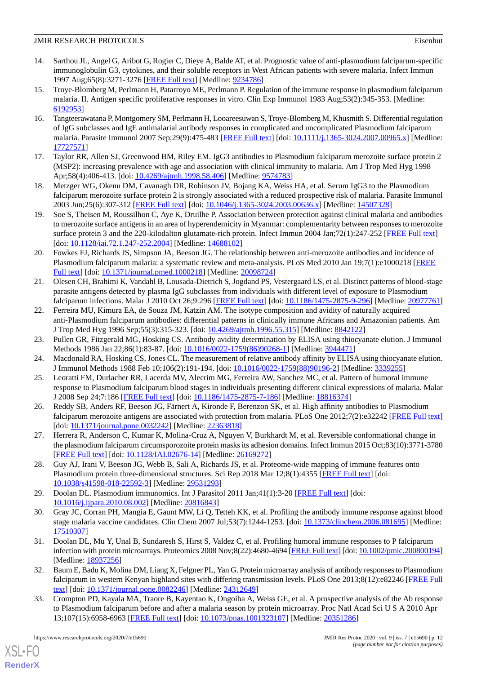- 14. Sarthou JL, Angel G, Aribot G, Rogier C, Dieye A, Balde AT, et al. Prognostic value of anti-plasmodium falciparum-specific immunoglobulin G3, cytokines, and their soluble receptors in West African patients with severe malaria. Infect Immun 1997 Aug;65(8):3271-3276 [[FREE Full text](http://iai.asm.org/cgi/pmidlookup?view=long&pmid=9234786)] [Medline: [9234786\]](http://www.ncbi.nlm.nih.gov/entrez/query.fcgi?cmd=Retrieve&db=PubMed&list_uids=9234786&dopt=Abstract)
- <span id="page-11-0"></span>15. Troye-Blomberg M, Perlmann H, Patarroyo ME, Perlmann P. Regulation of the immune response in plasmodium falciparum malaria. II. Antigen specific proliferative responses in vitro. Clin Exp Immunol 1983 Aug;53(2):345-353. [Medline: [6192953\]](http://www.ncbi.nlm.nih.gov/entrez/query.fcgi?cmd=Retrieve&db=PubMed&list_uids=6192953&dopt=Abstract)
- <span id="page-11-1"></span>16. Tangteerawatana P, Montgomery SM, Perlmann H, Looareesuwan S, Troye-Blomberg M, Khusmith S. Differential regulation of IgG subclasses and IgE antimalarial antibody responses in complicated and uncomplicated Plasmodium falciparum malaria. Parasite Immunol 2007 Sep;29(9):475-483 [\[FREE Full text\]](https://doi.org/10.1111/j.1365-3024.2007.00965.x) [doi: [10.1111/j.1365-3024.2007.00965.x\]](http://dx.doi.org/10.1111/j.1365-3024.2007.00965.x) [Medline: [17727571](http://www.ncbi.nlm.nih.gov/entrez/query.fcgi?cmd=Retrieve&db=PubMed&list_uids=17727571&dopt=Abstract)]
- <span id="page-11-3"></span><span id="page-11-2"></span>17. Taylor RR, Allen SJ, Greenwood BM, Riley EM. IgG3 antibodies to Plasmodium falciparum merozoite surface protein 2 (MSP2): increasing prevalence with age and association with clinical immunity to malaria. Am J Trop Med Hyg 1998 Apr;58(4):406-413. [doi: [10.4269/ajtmh.1998.58.406\]](http://dx.doi.org/10.4269/ajtmh.1998.58.406) [Medline: [9574783](http://www.ncbi.nlm.nih.gov/entrez/query.fcgi?cmd=Retrieve&db=PubMed&list_uids=9574783&dopt=Abstract)]
- <span id="page-11-4"></span>18. Metzger WG, Okenu DM, Cavanagh DR, Robinson JV, Bojang KA, Weiss HA, et al. Serum IgG3 to the Plasmodium falciparum merozoite surface protein 2 is strongly associated with a reduced prospective risk of malaria. Parasite Immunol 2003 Jun;25(6):307-312 [\[FREE Full text\]](https://onlinelibrary.wiley.com/resolve/openurl?genre=article&sid=nlm:pubmed&issn=0141-9838&date=2003&volume=25&issue=6&spage=307) [doi: [10.1046/j.1365-3024.2003.00636.x](http://dx.doi.org/10.1046/j.1365-3024.2003.00636.x)] [Medline: [14507328](http://www.ncbi.nlm.nih.gov/entrez/query.fcgi?cmd=Retrieve&db=PubMed&list_uids=14507328&dopt=Abstract)]
- <span id="page-11-5"></span>19. Soe S, Theisen M, Roussilhon C, Aye K, Druilhe P. Association between protection against clinical malaria and antibodies to merozoite surface antigens in an area of hyperendemicity in Myanmar: complementarity between responses to merozoite surface protein 3 and the 220-kilodalton glutamate-rich protein. Infect Immun 2004 Jan;72(1):247-252 [[FREE Full text](http://iai.asm.org/cgi/pmidlookup?view=long&pmid=14688102)] [doi: [10.1128/iai.72.1.247-252.2004\]](http://dx.doi.org/10.1128/iai.72.1.247-252.2004) [Medline: [14688102](http://www.ncbi.nlm.nih.gov/entrez/query.fcgi?cmd=Retrieve&db=PubMed&list_uids=14688102&dopt=Abstract)]
- <span id="page-11-6"></span>20. Fowkes FJ, Richards JS, Simpson JA, Beeson JG. The relationship between anti-merozoite antibodies and incidence of Plasmodium falciparum malaria: a systematic review and meta-analysis. PLoS Med 2010 Jan 19;7(1):e1000218 [\[FREE](http://dx.plos.org/10.1371/journal.pmed.1000218) [Full text\]](http://dx.plos.org/10.1371/journal.pmed.1000218) [doi: [10.1371/journal.pmed.1000218](http://dx.doi.org/10.1371/journal.pmed.1000218)] [Medline: [20098724\]](http://www.ncbi.nlm.nih.gov/entrez/query.fcgi?cmd=Retrieve&db=PubMed&list_uids=20098724&dopt=Abstract)
- <span id="page-11-7"></span>21. Olesen CH, Brahimi K, Vandahl B, Lousada-Dietrich S, Jogdand PS, Vestergaard LS, et al. Distinct patterns of blood-stage parasite antigens detected by plasma IgG subclasses from individuals with different level of exposure to Plasmodium falciparum infections. Malar J 2010 Oct 26;9:296 [[FREE Full text\]](https://malariajournal.biomedcentral.com/articles/10.1186/1475-2875-9-296) [doi: [10.1186/1475-2875-9-296\]](http://dx.doi.org/10.1186/1475-2875-9-296) [Medline: [20977761](http://www.ncbi.nlm.nih.gov/entrez/query.fcgi?cmd=Retrieve&db=PubMed&list_uids=20977761&dopt=Abstract)]
- <span id="page-11-8"></span>22. Ferreira MU, Kimura EA, de Souza JM, Katzin AM. The isotype composition and avidity of naturally acquired anti-Plasmodium falciparum antibodies: differential patterns in clinically immune Africans and Amazonian patients. Am J Trop Med Hyg 1996 Sep;55(3):315-323. [doi: [10.4269/ajtmh.1996.55.315](http://dx.doi.org/10.4269/ajtmh.1996.55.315)] [Medline: [8842122\]](http://www.ncbi.nlm.nih.gov/entrez/query.fcgi?cmd=Retrieve&db=PubMed&list_uids=8842122&dopt=Abstract)
- <span id="page-11-16"></span>23. Pullen GR, Fitzgerald MG, Hosking CS. Antibody avidity determination by ELISA using thiocyanate elution. J Immunol Methods 1986 Jan 22;86(1):83-87. [doi: [10.1016/0022-1759\(86\)90268-1\]](http://dx.doi.org/10.1016/0022-1759(86)90268-1) [Medline: [3944471\]](http://www.ncbi.nlm.nih.gov/entrez/query.fcgi?cmd=Retrieve&db=PubMed&list_uids=3944471&dopt=Abstract)
- <span id="page-11-9"></span>24. Macdonald RA, Hosking CS, Jones CL. The measurement of relative antibody affinity by ELISA using thiocyanate elution. J Immunol Methods 1988 Feb 10;106(2):191-194. [doi: [10.1016/0022-1759\(88\)90196-2](http://dx.doi.org/10.1016/0022-1759(88)90196-2)] [Medline: [3339255\]](http://www.ncbi.nlm.nih.gov/entrez/query.fcgi?cmd=Retrieve&db=PubMed&list_uids=3339255&dopt=Abstract)
- <span id="page-11-10"></span>25. Leoratti FM, Durlacher RR, Lacerda MV, Alecrim MG, Ferreira AW, Sanchez MC, et al. Pattern of humoral immune response to Plasmodium falciparum blood stages in individuals presenting different clinical expressions of malaria. Malar J 2008 Sep 24;7:186 [\[FREE Full text\]](https://malariajournal.biomedcentral.com/articles/10.1186/1475-2875-7-186) [doi: [10.1186/1475-2875-7-186](http://dx.doi.org/10.1186/1475-2875-7-186)] [Medline: [18816374\]](http://www.ncbi.nlm.nih.gov/entrez/query.fcgi?cmd=Retrieve&db=PubMed&list_uids=18816374&dopt=Abstract)
- <span id="page-11-11"></span>26. Reddy SB, Anders RF, Beeson JG, Färnert A, Kironde F, Berenzon SK, et al. High affinity antibodies to Plasmodium falciparum merozoite antigens are associated with protection from malaria. PLoS One 2012;7(2):e32242 [\[FREE Full text](http://dx.plos.org/10.1371/journal.pone.0032242)] [doi: [10.1371/journal.pone.0032242\]](http://dx.doi.org/10.1371/journal.pone.0032242) [Medline: [22363818\]](http://www.ncbi.nlm.nih.gov/entrez/query.fcgi?cmd=Retrieve&db=PubMed&list_uids=22363818&dopt=Abstract)
- <span id="page-11-12"></span>27. Herrera R, Anderson C, Kumar K, Molina-Cruz A, Nguyen V, Burkhardt M, et al. Reversible conformational change in the plasmodium falciparum circumsporozoite protein masks its adhesion domains. Infect Immun 2015 Oct;83(10):3771-3780 [[FREE Full text](http://iai.asm.org/cgi/pmidlookup?view=long&pmid=26169272)] [doi: [10.1128/IAI.02676-14\]](http://dx.doi.org/10.1128/IAI.02676-14) [Medline: [26169272](http://www.ncbi.nlm.nih.gov/entrez/query.fcgi?cmd=Retrieve&db=PubMed&list_uids=26169272&dopt=Abstract)]
- <span id="page-11-13"></span>28. Guy AJ, Irani V, Beeson JG, Webb B, Sali A, Richards JS, et al. Proteome-wide mapping of immune features onto Plasmodium protein three-dimensional structures. Sci Rep 2018 Mar 12;8(1):4355 [\[FREE Full text](http://dx.doi.org/10.1038/s41598-018-22592-3)] [doi: [10.1038/s41598-018-22592-3\]](http://dx.doi.org/10.1038/s41598-018-22592-3) [Medline: [29531293\]](http://www.ncbi.nlm.nih.gov/entrez/query.fcgi?cmd=Retrieve&db=PubMed&list_uids=29531293&dopt=Abstract)
- <span id="page-11-14"></span>29. Doolan DL. Plasmodium immunomics. Int J Parasitol 2011 Jan;41(1):3-20 [\[FREE Full text\]](http://europepmc.org/abstract/MED/20816843) [doi: [10.1016/j.ijpara.2010.08.002](http://dx.doi.org/10.1016/j.ijpara.2010.08.002)] [Medline: [20816843](http://www.ncbi.nlm.nih.gov/entrez/query.fcgi?cmd=Retrieve&db=PubMed&list_uids=20816843&dopt=Abstract)]
- <span id="page-11-15"></span>30. Gray JC, Corran PH, Mangia E, Gaunt MW, Li Q, Tetteh KK, et al. Profiling the antibody immune response against blood stage malaria vaccine candidates. Clin Chem 2007 Jul;53(7):1244-1253. [doi: [10.1373/clinchem.2006.081695](http://dx.doi.org/10.1373/clinchem.2006.081695)] [Medline: [17510307](http://www.ncbi.nlm.nih.gov/entrez/query.fcgi?cmd=Retrieve&db=PubMed&list_uids=17510307&dopt=Abstract)]
- 31. Doolan DL, Mu Y, Unal B, Sundaresh S, Hirst S, Valdez C, et al. Profiling humoral immune responses to P falciparum infection with protein microarrays. Proteomics 2008 Nov;8(22):4680-4694 [[FREE Full text](http://europepmc.org/abstract/MED/18937256)] [doi: [10.1002/pmic.200800194\]](http://dx.doi.org/10.1002/pmic.200800194) [Medline: [18937256](http://www.ncbi.nlm.nih.gov/entrez/query.fcgi?cmd=Retrieve&db=PubMed&list_uids=18937256&dopt=Abstract)]
- 32. Baum E, Badu K, Molina DM, Liang X, Felgner PL, Yan G. Protein microarray analysis of antibody responses to Plasmodium falciparum in western Kenyan highland sites with differing transmission levels. PLoS One 2013;8(12):e82246 [[FREE Full](http://dx.plos.org/10.1371/journal.pone.0082246) [text](http://dx.plos.org/10.1371/journal.pone.0082246)] [doi: [10.1371/journal.pone.0082246\]](http://dx.doi.org/10.1371/journal.pone.0082246) [Medline: [24312649](http://www.ncbi.nlm.nih.gov/entrez/query.fcgi?cmd=Retrieve&db=PubMed&list_uids=24312649&dopt=Abstract)]
- 33. Crompton PD, Kayala MA, Traore B, Kayentao K, Ongoiba A, Weiss GE, et al. A prospective analysis of the Ab response to Plasmodium falciparum before and after a malaria season by protein microarray. Proc Natl Acad Sci U S A 2010 Apr 13;107(15):6958-6963 [[FREE Full text](http://www.pnas.org/cgi/pmidlookup?view=long&pmid=20351286)] [doi: [10.1073/pnas.1001323107\]](http://dx.doi.org/10.1073/pnas.1001323107) [Medline: [20351286](http://www.ncbi.nlm.nih.gov/entrez/query.fcgi?cmd=Retrieve&db=PubMed&list_uids=20351286&dopt=Abstract)]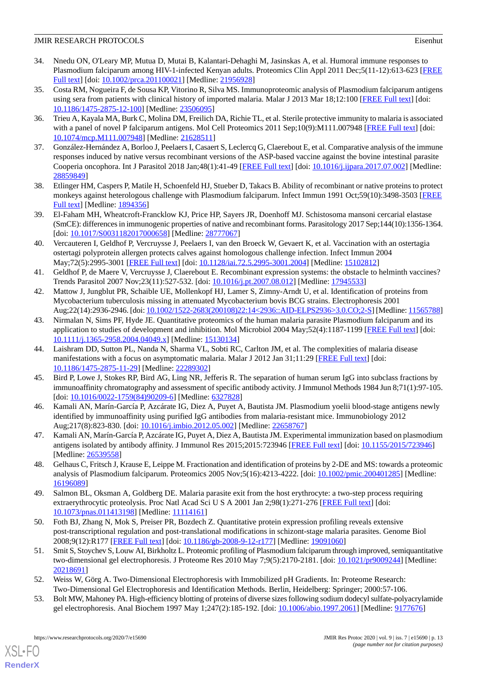- 34. Nnedu ON, O'Leary MP, Mutua D, Mutai B, Kalantari-Dehaghi M, Jasinskas A, et al. Humoral immune responses to Plasmodium falciparum among HIV-1-infected Kenyan adults. Proteomics Clin Appl 2011 Dec;5(11-12):613-623 [[FREE](http://europepmc.org/abstract/MED/21956928) [Full text\]](http://europepmc.org/abstract/MED/21956928) [doi: [10.1002/prca.201100021](http://dx.doi.org/10.1002/prca.201100021)] [Medline: [21956928\]](http://www.ncbi.nlm.nih.gov/entrez/query.fcgi?cmd=Retrieve&db=PubMed&list_uids=21956928&dopt=Abstract)
- 35. Costa RM, Nogueira F, de Sousa KP, Vitorino R, Silva MS. Immunoproteomic analysis of Plasmodium falciparum antigens using sera from patients with clinical history of imported malaria. Malar J 2013 Mar 18;12:100 [[FREE Full text](https://malariajournal.biomedcentral.com/articles/10.1186/1475-2875-12-100)] [doi: [10.1186/1475-2875-12-100\]](http://dx.doi.org/10.1186/1475-2875-12-100) [Medline: [23506095\]](http://www.ncbi.nlm.nih.gov/entrez/query.fcgi?cmd=Retrieve&db=PubMed&list_uids=23506095&dopt=Abstract)
- <span id="page-12-1"></span><span id="page-12-0"></span>36. Trieu A, Kayala MA, Burk C, Molina DM, Freilich DA, Richie TL, et al. Sterile protective immunity to malaria is associated with a panel of novel P falciparum antigens. Mol Cell Proteomics 2011 Sep;10(9):M111.007948 [\[FREE Full text](http://www.mcponline.org/cgi/pmidlookup?view=long&pmid=21628511)] [doi: [10.1074/mcp.M111.007948\]](http://dx.doi.org/10.1074/mcp.M111.007948) [Medline: [21628511\]](http://www.ncbi.nlm.nih.gov/entrez/query.fcgi?cmd=Retrieve&db=PubMed&list_uids=21628511&dopt=Abstract)
- 37. González-Hernández A, Borloo J, Peelaers I, Casaert S, Leclercq G, Claerebout E, et al. Comparative analysis of the immune responses induced by native versus recombinant versions of the ASP-based vaccine against the bovine intestinal parasite Cooperia oncophora. Int J Parasitol 2018 Jan;48(1):41-49 [\[FREE Full text\]](https://linkinghub.elsevier.com/retrieve/pii/S0020-7519(17)30227-8) [doi: [10.1016/j.ijpara.2017.07.002\]](http://dx.doi.org/10.1016/j.ijpara.2017.07.002) [Medline: [28859849](http://www.ncbi.nlm.nih.gov/entrez/query.fcgi?cmd=Retrieve&db=PubMed&list_uids=28859849&dopt=Abstract)]
- 38. Etlinger HM, Caspers P, Matile H, Schoenfeld HJ, Stueber D, Takacs B. Ability of recombinant or native proteins to protect monkeys against heterologous challenge with Plasmodium falciparum. Infect Immun 1991 Oct;59(10):3498-3503 [\[FREE](http://iai.asm.org/cgi/pmidlookup?view=long&pmid=1894356) [Full text\]](http://iai.asm.org/cgi/pmidlookup?view=long&pmid=1894356) [Medline: [1894356\]](http://www.ncbi.nlm.nih.gov/entrez/query.fcgi?cmd=Retrieve&db=PubMed&list_uids=1894356&dopt=Abstract)
- 39. El-Faham MH, Wheatcroft-Francklow KJ, Price HP, Sayers JR, Doenhoff MJ. Schistosoma mansoni cercarial elastase (SmCE): differences in immunogenic properties of native and recombinant forms. Parasitology 2017 Sep;144(10):1356-1364. [doi: [10.1017/S0031182017000658\]](http://dx.doi.org/10.1017/S0031182017000658) [Medline: [28777067](http://www.ncbi.nlm.nih.gov/entrez/query.fcgi?cmd=Retrieve&db=PubMed&list_uids=28777067&dopt=Abstract)]
- <span id="page-12-2"></span>40. Vercauteren I, Geldhof P, Vercruysse J, Peelaers I, van den Broeck W, Gevaert K, et al. Vaccination with an ostertagia ostertagi polyprotein allergen protects calves against homologous challenge infection. Infect Immun 2004 May;72(5):2995-3001 [\[FREE Full text\]](http://iai.asm.org/cgi/pmidlookup?view=long&pmid=15102812) [doi: [10.1128/iai.72.5.2995-3001.2004](http://dx.doi.org/10.1128/iai.72.5.2995-3001.2004)] [Medline: [15102812](http://www.ncbi.nlm.nih.gov/entrez/query.fcgi?cmd=Retrieve&db=PubMed&list_uids=15102812&dopt=Abstract)]
- <span id="page-12-3"></span>41. Geldhof P, de Maere V, Vercruysse J, Claerebout E. Recombinant expression systems: the obstacle to helminth vaccines? Trends Parasitol 2007 Nov;23(11):527-532. [doi: [10.1016/j.pt.2007.08.012](http://dx.doi.org/10.1016/j.pt.2007.08.012)] [Medline: [17945533\]](http://www.ncbi.nlm.nih.gov/entrez/query.fcgi?cmd=Retrieve&db=PubMed&list_uids=17945533&dopt=Abstract)
- <span id="page-12-4"></span>42. Mattow J, Jungblut PR, Schaible UE, Mollenkopf HJ, Lamer S, Zimny-Arndt U, et al. Identification of proteins from Mycobacterium tuberculosis missing in attenuated Mycobacterium bovis BCG strains. Electrophoresis 2001 Aug;22(14):2936-2946. [doi: [10.1002/1522-2683\(200108\)22:14<2936::AID-ELPS2936>3.0.CO;2-S](http://dx.doi.org/10.1002/1522-2683(200108)22:14<2936::AID-ELPS2936>3.0.CO;2-S)] [Medline: [11565788\]](http://www.ncbi.nlm.nih.gov/entrez/query.fcgi?cmd=Retrieve&db=PubMed&list_uids=11565788&dopt=Abstract)
- <span id="page-12-5"></span>43. Nirmalan N, Sims PF, Hyde JE. Quantitative proteomics of the human malaria parasite Plasmodium falciparum and its application to studies of development and inhibition. Mol Microbiol 2004 May;52(4):1187-1199 [\[FREE Full text\]](https://onlinelibrary.wiley.com/resolve/openurl?genre=article&sid=nlm:pubmed&issn=0950-382X&date=2004&volume=52&issue=4&spage=1187) [doi: [10.1111/j.1365-2958.2004.04049.x\]](http://dx.doi.org/10.1111/j.1365-2958.2004.04049.x) [Medline: [15130134\]](http://www.ncbi.nlm.nih.gov/entrez/query.fcgi?cmd=Retrieve&db=PubMed&list_uids=15130134&dopt=Abstract)
- <span id="page-12-6"></span>44. Laishram DD, Sutton PL, Nanda N, Sharma VL, Sobti RC, Carlton JM, et al. The complexities of malaria disease manifestations with a focus on asymptomatic malaria. Malar J 2012 Jan 31;11:29 [\[FREE Full text\]](https://malariajournal.biomedcentral.com/articles/10.1186/1475-2875-11-29) [doi: [10.1186/1475-2875-11-29\]](http://dx.doi.org/10.1186/1475-2875-11-29) [Medline: [22289302\]](http://www.ncbi.nlm.nih.gov/entrez/query.fcgi?cmd=Retrieve&db=PubMed&list_uids=22289302&dopt=Abstract)
- <span id="page-12-7"></span>45. Bird P, Lowe J, Stokes RP, Bird AG, Ling NR, Jefferis R. The separation of human serum IgG into subclass fractions by immunoaffinity chromatography and assessment of specific antibody activity. J Immunol Methods 1984 Jun 8;71(1):97-105. [doi: [10.1016/0022-1759\(84\)90209-6](http://dx.doi.org/10.1016/0022-1759(84)90209-6)] [Medline: [6327828](http://www.ncbi.nlm.nih.gov/entrez/query.fcgi?cmd=Retrieve&db=PubMed&list_uids=6327828&dopt=Abstract)]
- <span id="page-12-9"></span><span id="page-12-8"></span>46. Kamali AN, Marín-García P, Azcárate IG, Diez A, Puyet A, Bautista JM. Plasmodium yoelii blood-stage antigens newly identified by immunoaffinity using purified IgG antibodies from malaria-resistant mice. Immunobiology 2012 Aug;217(8):823-830. [doi: [10.1016/j.imbio.2012.05.002](http://dx.doi.org/10.1016/j.imbio.2012.05.002)] [Medline: [22658767\]](http://www.ncbi.nlm.nih.gov/entrez/query.fcgi?cmd=Retrieve&db=PubMed&list_uids=22658767&dopt=Abstract)
- <span id="page-12-10"></span>47. Kamali AN, Marín-García P, Azcárate IG, Puyet A, Diez A, Bautista JM. Experimental immunization based on plasmodium antigens isolated by antibody affinity. J Immunol Res 2015;2015:723946 [[FREE Full text](https://doi.org/10.1155/2015/723946)] [doi: [10.1155/2015/723946\]](http://dx.doi.org/10.1155/2015/723946) [Medline: [26539558](http://www.ncbi.nlm.nih.gov/entrez/query.fcgi?cmd=Retrieve&db=PubMed&list_uids=26539558&dopt=Abstract)]
- <span id="page-12-11"></span>48. Gelhaus C, Fritsch J, Krause E, Leippe M. Fractionation and identification of proteins by 2-DE and MS: towards a proteomic analysis of Plasmodium falciparum. Proteomics 2005 Nov;5(16):4213-4222. [doi: [10.1002/pmic.200401285\]](http://dx.doi.org/10.1002/pmic.200401285) [Medline: [16196089](http://www.ncbi.nlm.nih.gov/entrez/query.fcgi?cmd=Retrieve&db=PubMed&list_uids=16196089&dopt=Abstract)]
- <span id="page-12-12"></span>49. Salmon BL, Oksman A, Goldberg DE. Malaria parasite exit from the host erythrocyte: a two-step process requiring extraerythrocytic proteolysis. Proc Natl Acad Sci U S A 2001 Jan 2;98(1):271-276 [[FREE Full text\]](http://www.pnas.org/cgi/pmidlookup?view=long&pmid=11114161) [doi: [10.1073/pnas.011413198\]](http://dx.doi.org/10.1073/pnas.011413198) [Medline: [11114161](http://www.ncbi.nlm.nih.gov/entrez/query.fcgi?cmd=Retrieve&db=PubMed&list_uids=11114161&dopt=Abstract)]
- <span id="page-12-13"></span>50. Foth BJ, Zhang N, Mok S, Preiser PR, Bozdech Z. Quantitative protein expression profiling reveals extensive post-transcriptional regulation and post-translational modifications in schizont-stage malaria parasites. Genome Biol 2008;9(12):R177 [\[FREE Full text\]](https://genomebiology.biomedcentral.com/articles/10.1186/gb-2008-9-12-r177) [doi: [10.1186/gb-2008-9-12-r177\]](http://dx.doi.org/10.1186/gb-2008-9-12-r177) [Medline: [19091060\]](http://www.ncbi.nlm.nih.gov/entrez/query.fcgi?cmd=Retrieve&db=PubMed&list_uids=19091060&dopt=Abstract)
- <span id="page-12-14"></span>51. Smit S, Stoychev S, Louw AI, Birkholtz L. Proteomic profiling of Plasmodium falciparum through improved, semiquantitative two-dimensional gel electrophoresis. J Proteome Res 2010 May 7;9(5):2170-2181. [doi: [10.1021/pr9009244](http://dx.doi.org/10.1021/pr9009244)] [Medline: [20218691](http://www.ncbi.nlm.nih.gov/entrez/query.fcgi?cmd=Retrieve&db=PubMed&list_uids=20218691&dopt=Abstract)]
- 52. Weiss W, Görg A. Two-Dimensional Electrophoresis with Immobilized pH Gradients. In: Proteome Research: Two-Dimensional Gel Electrophoresis and Identification Methods. Berlin, Heidelberg: Springer; 2000:57-106.
- 53. Bolt MW, Mahoney PA. High-efficiency blotting of proteins of diverse sizes following sodium dodecyl sulfate-polyacrylamide gel electrophoresis. Anal Biochem 1997 May 1;247(2):185-192. [doi: [10.1006/abio.1997.2061](http://dx.doi.org/10.1006/abio.1997.2061)] [Medline: [9177676\]](http://www.ncbi.nlm.nih.gov/entrez/query.fcgi?cmd=Retrieve&db=PubMed&list_uids=9177676&dopt=Abstract)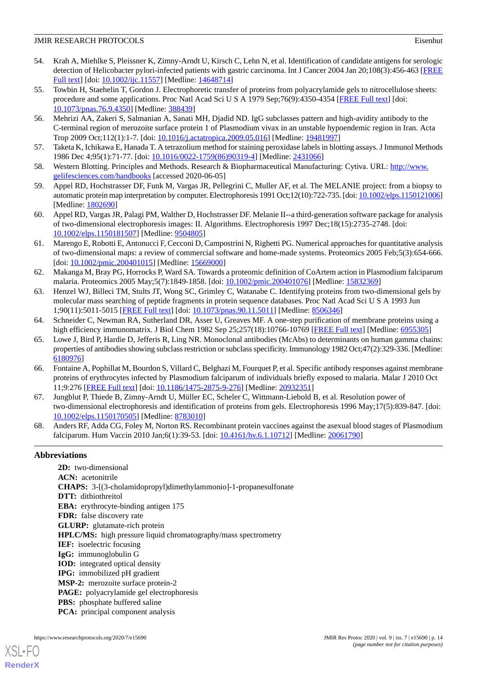- <span id="page-13-0"></span>54. Krah A, Miehlke S, Pleissner K, Zimny-Arndt U, Kirsch C, Lehn N, et al. Identification of candidate antigens for serologic detection of Helicobacter pylori-infected patients with gastric carcinoma. Int J Cancer 2004 Jan 20;108(3):456-463 [\[FREE](https://doi.org/10.1002/ijc.11557) [Full text\]](https://doi.org/10.1002/ijc.11557) [doi: [10.1002/ijc.11557\]](http://dx.doi.org/10.1002/ijc.11557) [Medline: [14648714\]](http://www.ncbi.nlm.nih.gov/entrez/query.fcgi?cmd=Retrieve&db=PubMed&list_uids=14648714&dopt=Abstract)
- <span id="page-13-1"></span>55. Towbin H, Staehelin T, Gordon J. Electrophoretic transfer of proteins from polyacrylamide gels to nitrocellulose sheets: procedure and some applications. Proc Natl Acad Sci U S A 1979 Sep;76(9):4350-4354 [[FREE Full text](http://europepmc.org/abstract/MED/388439)] [doi: [10.1073/pnas.76.9.4350\]](http://dx.doi.org/10.1073/pnas.76.9.4350) [Medline: [388439](http://www.ncbi.nlm.nih.gov/entrez/query.fcgi?cmd=Retrieve&db=PubMed&list_uids=388439&dopt=Abstract)]
- <span id="page-13-2"></span>56. Mehrizi AA, Zakeri S, Salmanian A, Sanati MH, Djadid ND. IgG subclasses pattern and high-avidity antibody to the C-terminal region of merozoite surface protein 1 of Plasmodium vivax in an unstable hypoendemic region in Iran. Acta Trop 2009 Oct;112(1):1-7. [doi: [10.1016/j.actatropica.2009.05.016\]](http://dx.doi.org/10.1016/j.actatropica.2009.05.016) [Medline: [19481997\]](http://www.ncbi.nlm.nih.gov/entrez/query.fcgi?cmd=Retrieve&db=PubMed&list_uids=19481997&dopt=Abstract)
- <span id="page-13-4"></span><span id="page-13-3"></span>57. Taketa K, Ichikawa E, Hanada T. A tetrazolium method for staining peroxidase labels in blotting assays. J Immunol Methods 1986 Dec 4;95(1):71-77. [doi: [10.1016/0022-1759\(86\)90319-4](http://dx.doi.org/10.1016/0022-1759(86)90319-4)] [Medline: [2431066\]](http://www.ncbi.nlm.nih.gov/entrez/query.fcgi?cmd=Retrieve&db=PubMed&list_uids=2431066&dopt=Abstract)
- 58. Western Blotting. Principles and Methods. Research & Biopharmaceutical Manufacturing: Cytiva. URL: [http://www.](http://www.gelifesciences.com/handbooks) [gelifesciences.com/handbooks](http://www.gelifesciences.com/handbooks) [accessed 2020-06-05]
- 59. Appel RD, Hochstrasser DF, Funk M, Vargas JR, Pellegrini C, Muller AF, et al. The MELANIE project: from a biopsy to automatic protein map interpretation by computer. Electrophoresis 1991 Oct;12(10):722-735. [doi: [10.1002/elps.1150121006\]](http://dx.doi.org/10.1002/elps.1150121006) [Medline: [1802690\]](http://www.ncbi.nlm.nih.gov/entrez/query.fcgi?cmd=Retrieve&db=PubMed&list_uids=1802690&dopt=Abstract)
- <span id="page-13-5"></span>60. Appel RD, Vargas JR, Palagi PM, Walther D, Hochstrasser DF. Melanie II--a third-generation software package for analysis of two-dimensional electrophoresis images: II. Algorithms. Electrophoresis 1997 Dec;18(15):2735-2748. [doi: [10.1002/elps.1150181507](http://dx.doi.org/10.1002/elps.1150181507)] [Medline: [9504805](http://www.ncbi.nlm.nih.gov/entrez/query.fcgi?cmd=Retrieve&db=PubMed&list_uids=9504805&dopt=Abstract)]
- <span id="page-13-6"></span>61. Marengo E, Robotti E, Antonucci F, Cecconi D, Campostrini N, Righetti PG. Numerical approaches for quantitative analysis of two-dimensional maps: a review of commercial software and home-made systems. Proteomics 2005 Feb;5(3):654-666. [doi: [10.1002/pmic.200401015\]](http://dx.doi.org/10.1002/pmic.200401015) [Medline: [15669000](http://www.ncbi.nlm.nih.gov/entrez/query.fcgi?cmd=Retrieve&db=PubMed&list_uids=15669000&dopt=Abstract)]
- <span id="page-13-7"></span>62. Makanga M, Bray PG, Horrocks P, Ward SA. Towards a proteomic definition of CoArtem action in Plasmodium falciparum malaria. Proteomics 2005 May;5(7):1849-1858. [doi: [10.1002/pmic.200401076\]](http://dx.doi.org/10.1002/pmic.200401076) [Medline: [15832369](http://www.ncbi.nlm.nih.gov/entrez/query.fcgi?cmd=Retrieve&db=PubMed&list_uids=15832369&dopt=Abstract)]
- <span id="page-13-9"></span><span id="page-13-8"></span>63. Henzel WJ, Billeci TM, Stults JT, Wong SC, Grimley C, Watanabe C. Identifying proteins from two-dimensional gels by molecular mass searching of peptide fragments in protein sequence databases. Proc Natl Acad Sci U S A 1993 Jun 1;90(11):5011-5015 [[FREE Full text](http://www.pnas.org/cgi/pmidlookup?view=long&pmid=8506346)] [doi: [10.1073/pnas.90.11.5011\]](http://dx.doi.org/10.1073/pnas.90.11.5011) [Medline: [8506346](http://www.ncbi.nlm.nih.gov/entrez/query.fcgi?cmd=Retrieve&db=PubMed&list_uids=8506346&dopt=Abstract)]
- 64. Schneider C, Newman RA, Sutherland DR, Asser U, Greaves MF. A one-step purification of membrane proteins using a high efficiency immunomatrix. J Biol Chem 1982 Sep 25;257(18):10766-10769 [\[FREE Full text](http://www.jbc.org/cgi/pmidlookup?view=long&pmid=6955305)] [Medline: [6955305](http://www.ncbi.nlm.nih.gov/entrez/query.fcgi?cmd=Retrieve&db=PubMed&list_uids=6955305&dopt=Abstract)]
- <span id="page-13-10"></span>65. Lowe J, Bird P, Hardie D, Jefferis R, Ling NR. Monoclonal antibodies (McAbs) to determinants on human gamma chains: properties of antibodies showing subclass restriction or subclass specificity. Immunology 1982 Oct;47(2):329-336. [Medline: [6180976\]](http://www.ncbi.nlm.nih.gov/entrez/query.fcgi?cmd=Retrieve&db=PubMed&list_uids=6180976&dopt=Abstract)
- <span id="page-13-11"></span>66. Fontaine A, Pophillat M, Bourdon S, Villard C, Belghazi M, Fourquet P, et al. Specific antibody responses against membrane proteins of erythrocytes infected by Plasmodium falciparum of individuals briefly exposed to malaria. Malar J 2010 Oct 11;9:276 [[FREE Full text](https://malariajournal.biomedcentral.com/articles/10.1186/1475-2875-9-276)] [doi: [10.1186/1475-2875-9-276\]](http://dx.doi.org/10.1186/1475-2875-9-276) [Medline: [20932351\]](http://www.ncbi.nlm.nih.gov/entrez/query.fcgi?cmd=Retrieve&db=PubMed&list_uids=20932351&dopt=Abstract)
- <span id="page-13-12"></span>67. Jungblut P, Thiede B, Zimny-Arndt U, Müller EC, Scheler C, Wittmann-Liebold B, et al. Resolution power of two-dimensional electrophoresis and identification of proteins from gels. Electrophoresis 1996 May;17(5):839-847. [doi: [10.1002/elps.1150170505](http://dx.doi.org/10.1002/elps.1150170505)] [Medline: [8783010](http://www.ncbi.nlm.nih.gov/entrez/query.fcgi?cmd=Retrieve&db=PubMed&list_uids=8783010&dopt=Abstract)]
- 68. Anders RF, Adda CG, Foley M, Norton RS. Recombinant protein vaccines against the asexual blood stages of Plasmodium falciparum. Hum Vaccin 2010 Jan;6(1):39-53. [doi: [10.4161/hv.6.1.10712\]](http://dx.doi.org/10.4161/hv.6.1.10712) [Medline: [20061790\]](http://www.ncbi.nlm.nih.gov/entrez/query.fcgi?cmd=Retrieve&db=PubMed&list_uids=20061790&dopt=Abstract)

# **Abbreviations**

**2D:** two-dimensional **ACN:** acetonitrile **CHAPS:** 3-[(3-cholamidopropyl)dimethylammonio]-1-propanesulfonate **DTT:** dithiothreitol **EBA:** erythrocyte-binding antigen 175 **FDR:** false discovery rate **GLURP:** glutamate-rich protein **HPLC/MS:** high pressure liquid chromatography/mass spectrometry **IEF:** isoelectric focusing **IgG:** immunoglobulin G **IOD:** integrated optical density **IPG:** immobilized pH gradient **MSP-2:** merozoite surface protein-2 **PAGE:** polyacrylamide gel electrophoresis **PBS:** phosphate buffered saline **PCA:** principal component analysis